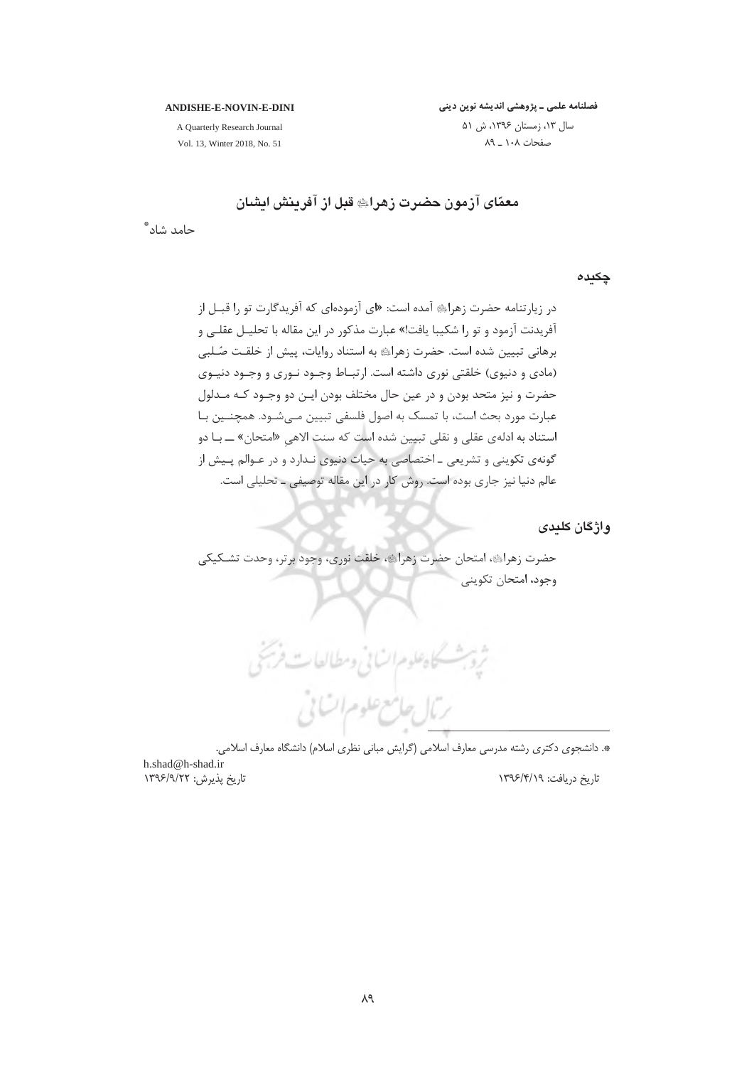فصلنامه علمی ـ پژوهشی اندیشه نوین دینی

#### **ANDISHE-E-NOVIN-E-DINI**

A Quarterly Research Journal Vol. 13, Winter 2018, No. 51

سال ١٣، زمستان ١٣٩۶، ش ۵١ صفحات ١٠٨ ـ ٨٩

# معمّای آزمون حضرت زهرای قبل از آفرینش ایشان

حامد شاد ؓ

چکیدہ

در زیارتنامه حضرت زهرای آمده است: «ای آزمودهای که آفریدگارت تو را قبـل از آفریدنت آزمود و تو را شکیبا یافت!» عبارت مذکور در این مقاله با تحلیـل عقلــی و برهانی تبیین شده است. حضرت زهرای به استناد روایات، پیش از خلقت صُلبی (مادی و دنیوی) خلقتی نوری داشته است. ارتبـاط وجـود نـوری و وجـود دنیـوی حضرت و نيز متحد بودن و در عين حال مختلف بودن ايـن دو وجـود كـه مـدلول عبارت مورد بحث است، با تمسک به اصول فلسفی تبیین مـیشـود. همچنـین بـا استناد به ادلهي عقلي و نقلي تبيين شده است كه سنت الاهي «امتحان» ــ بـا دو گونهي تکويني و تشريعي ــ اختصاصي به حيات دنيوي نـدارد و در عـوالم پـيش از عالم دنیا نیز جاری بوده است. روش کار در این مقاله توصیفی ـ تحلیلی است.

واژگان کلیدی

حضرت زهراي ،امتحان حضرت زهراي ،خلقت نوري، وجود برتر، وحدت تشـكيكي وجود، امتحان تكويني

ثروبث كاه علوم السابي ومطالعات فريخى رمال جامع علوم ات بي

\*. دانشجوی دکتری رشته مدرسی معارف اسلامی (گرایش مبانی نظری اسلام) دانشگاه معارف اسلامی.

h.shad@h-shad.ir تاریخ پذیرش: ۱۳۹۶/۹/۲۲

تاریخ دریافت: ۱۳۹۶/۴/۱۹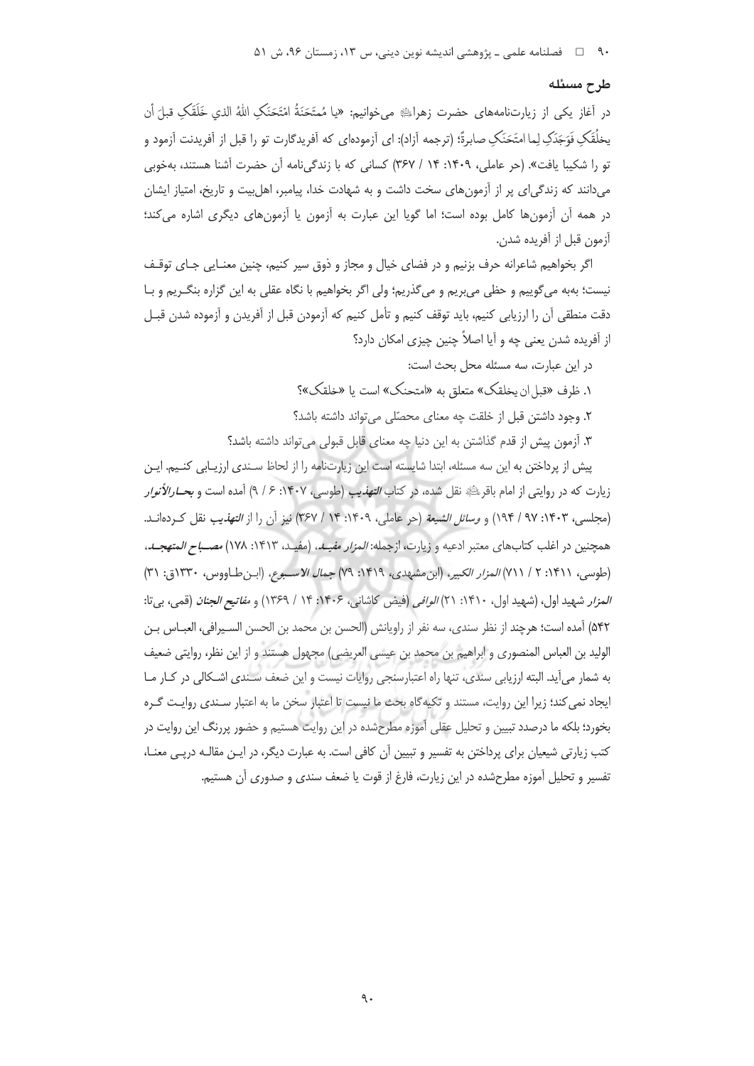#### طرح مسئله

در آغاز یکی از زیارتنامههای حضرت زهرایے می خوانیم: «یا مُمتَحَنَةُ امْتَحَنَک اللهُ الذي خَلَقَکِ قبلَ أن يخلُقَكِ فَوَجَدَكِ لِما امتَحَنَكِ صابرةً؛ (ترجمه أزاد): اي أزمودهاي كه أفريدگارت تو را قبل از أفريدنت أزمود و تو را شکیبا یافت». (حر عاملی، ۱۴۰۹: ۱۴ / ۳۶۷) کسانی که با زندگیiامه آن حضرت آشنا هستند، بهخوبی می دانند که زندگی ای پر از آزمون های سخت داشت و به شهادت خدا، پیامبر، اهل بیت و تاریخ، امتیاز ایشان در همه آن آزمونها كامل بوده است؛ اما گویا این عبارت به آزمون یا آزمونهای دیگری اشاره می كند؛ آزمون قبل از آفريده شدن.

اگر بخواهیم شاعرانه حرف بزنیم و در فضای خیال و مجاز و ذوق سیر کنیم، چنین معنایی جای توقف نيست؛ بهبه مي¢وييم و حظى مي بريم و مي¢ذريم؛ ولي اگر بخواهيم با نگاه عقلي به اين گزاره بنگ يم و بـا دقت منطقی آن را ارزیابی کنیم، باید توقف کنیم و تأمل کنیم که آزمودن قبل از آفریدن و آزموده شدن قبـل از آفریده شدن بعنی چه و آیا اصلاً چنین چیزی امکان دارد؟

در این عبارت، سه مسئله محل بحث است:

١. ظرف «قبل ان يخلقك» متعلق به «امتحنك» است يا «خلقك»؟

٢. وجود داشتن قبل از خلقت چه معنای محصّلی می تواند داشته باشد؟

٣. آزمون پیش از قدم گذاشتن به این دنیا چه معنای قابل قبولی می تواند داشته باشد؟

ییش از پرداختن به این سه مسئله، ابتدا شایسته است این زیارتنامه را از لحاظ سـندی ارزیـابی کنـیم. ایـن زيارت كه در روايتي از امام باقر<sup>يائي</sup>ة نقل شده، در كتاب *التهذي*ب (طوسى، ١۴٠٧: ۶ / ٩) آمده است و *بحــا رالأنوار* (مجلسي، ١۴٠٣: ٩٧ / ١٩۴) و *وسائل الشيعة* (حر عاملي، ١۴٠٩: ١۴ / ٣۶٧) نيز أن را از *التهذيب* نقل كـردهانــد. همچنین در اغلب کتابهای معتبر ادعیه و زیارت، ازجمله: *المزار مفیـد*، (مفیـد، ۱۴۱۳: ۱۷۸) *مصـباح المتهجـد،* (طوسى، ١٤١١: ٢ / ٧١١) المزار الكبير، (ابن مشهدى، ١٤١٩: ٧٩) جمال الاسبوع، (ابن طاووس، ١٣٣٠ق: ٣١) *المزار* شهيد اول، (شهيد اول، ١۴١٠: ٢١) *الوافي* (فيض كاشاني، ١۴٠۶: ١۴ / ١٣۶٩) و *مفاتيح الجنان* (قمي، بيir: ۵۴۲) آمده است؛ هرچند از نظر سندی، سه نفر از راویانش (الحسن بن محمد بن الحسن السـيرافي، العبـاس بـن الوليد بن العباس المنصوري و ابراهيم بن محمد بن عيسى العريضي) مجهول هستند و از اين نظر، روايتي ضعيف به شمار می آید. البته ارزیابی سندی، تنها راه اعتبارسنجی روایات نیست و این ضعف سـندی اشـکالی در کـار مـا ایجاد نمی کند؛ زیرا این روایت، مستند و تکیه گاه بحث ما نیست تا اعتبار سخن ما به اعتبار سـندی روایـت گـره بخورد؛ بلکه ما درصدد تبیین و تحلیل عقلی آموزه مطرحشده در این روایت هستیم و حضور پررنگ این روایت در کتب زیارتی شیعیان برای پرداختن به تفسیر و تبیین آن کافی است. به عبارت دیگر، در ایـن مقالـه درپـی معنـا، تفسير و تحليل آموزه مطرحشده در اين زيارت، فارغ از قوت يا ضعف سندي و صدوري آن هستيم.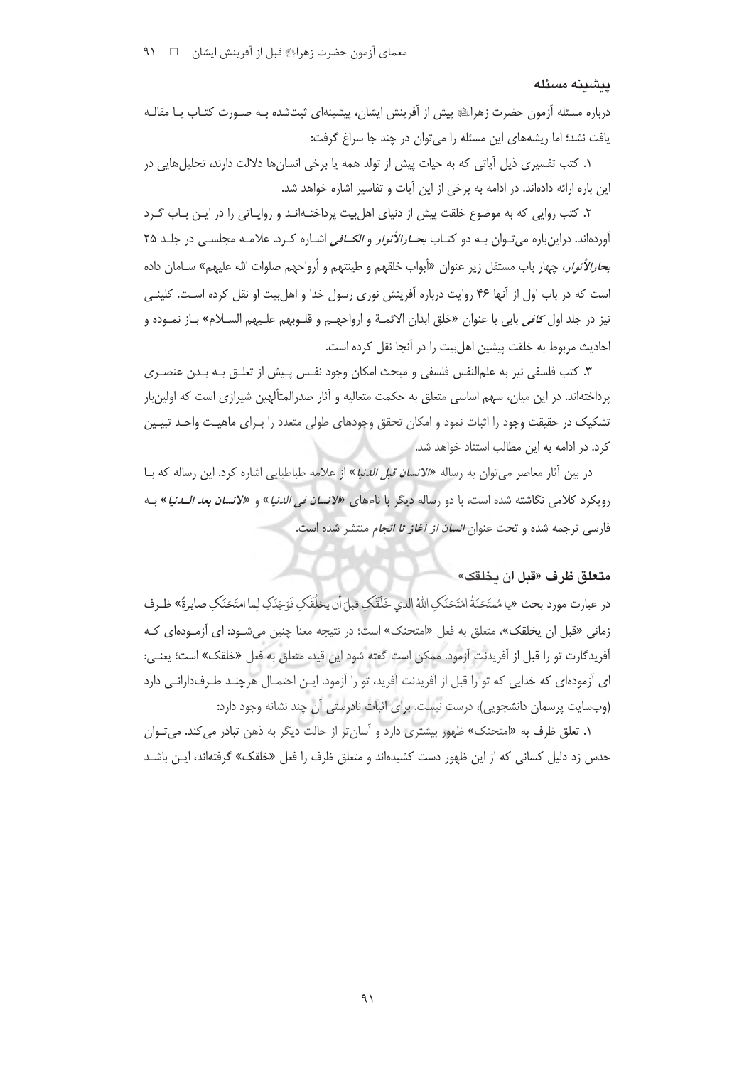#### ينشىنە مسئلە

درباره مسئله آزمون حضرت زهراﷺ پیش از آفرینش ایشان، پیشینهای ثبتشده بـه صـورت کتـاب یـا مقالـه یافت نشد؛ اما ریشههای این مسئله را می توان در چند جا سراغ گرفت:

١. كتب تفسيري ذيل آياتي كه به حيات ييش از تولد همه يا برخي انسانها دلالت دارند، تحليلهايي در این باره ارائه دادهاند. در ادامه به برخی از این آیات و تفاسیر اشاره خواهد شد.

۲. کتب روایی که به موضوع خلقت پیش از دنیای اهل بیت پرداختـهانـد و روایـاتی را در ایـن بـاب گـرد آوردهاند. دراینباره میتوان بـه دو کتـاب *بحـارالأنوار و الکـافی* اشـاره کـرد. علامـه مجلسـی در جلـد ۲۵ بح*ارالأنوار*، چهار باب مستقل زير عنوان «أبواب خلقهم و طينتهم و أرواحهم صلوات الله عليهم» سـامان داده است که در باب اول از آنها ۴۶ روایت درباره آفرینش نوری رسول خدا و اهل بیت او نقل کرده است. کلینـی نيز در جلد اول *كافي* بابي با عنوان «خلق ابدان الائمــة و ارواحهــم و قلــوبهم علــيهم الســلام» بــاز نمــوده و احاديث مربوط به خلقت پيشين اهل بيت را در آنجا نقل كرده است.

٣. كتب فلسفى نيز به علمالنفس فلسفى و مبحث امكان وجود نفـس يـيش از تعلـق بـه بـدن عنصـرى یرداختهاند. در این میان، سهم اساسی متعلق به حکمت متعالیه و آثار صدرالمتألهین شیرازی است که اولین بار تشکیک در حقیقت وجود را اثبات نمود و امکان تحقق وجودهای طولی متعدد را بـرای ماهیـت واحـد تبیـین کرد. در ادامه به این مطالب استناد خواهد شد.

در بین آثار معاصر می توان به رساله «الانس*ان قبل الدنیا*» از علامه طباطبایی اشاره کرد. این رساله که بـا رويكرد كلامي نگاشته شده است، با دو رساله ديگر با نامهاي *«لانسان في الدنيا*» و *«لانسان بعد الــدنيا*» بــه .<br>فارسی ترجمه شده و تحت عنوان *انسان از آغاز تا انجام* منتشر شده است.

# متعلق ظرف «قبل ان بخلقك»

در عبارت مورد بحث «يامُمتَحَنَةُ امْتَحَنَكِ اللهُ الذي خَلَقَكِ قبلَ أن يخلُقَكِ فَوَجَدَكِ لِما امتَحَنَكِ صابرةً» ظـرف زمانی «قبل ان یخلقک»، متعلق به فعل «امتحنک» است؛ در نتیجه معنا چنین می شـود: ای آزمـودهای کـه آفريدگارت تو را قبل از آفريدنت آزمود. ممكن است گفته شود اين قيد، متعلق به فعل «خلقک» است؛ يعنـي: ای آزمودهای که خدایی که تو را قبل از آفریدنت آفرید، تو را آزمود. ایـن احتمـال هرچنـد طـرفدارانـی دارد (وبسایت پرسمان دانشجویی)، درست نیست. برای اثبات نادرستی آن چند نشانه وجود دارد:

۰۱. تعلق ظرف به «امتحنک» ظهور بیشتری دارد و آسان تر از حالت دیگر به ذهن تبادر می کند. می *ت*وان حدس زد دلیل کسانی که از این ظهور دست کشیدهاند و متعلق ظرف را فعل «خلقک» گرفتهاند، ایـن باشــد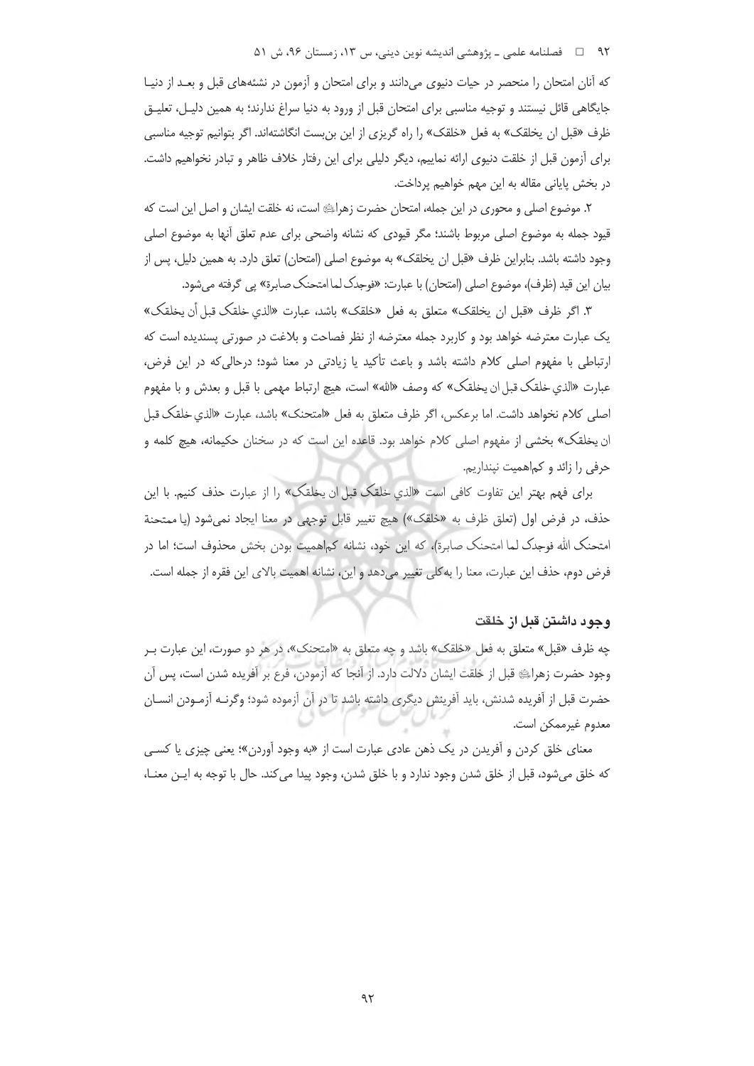#### ۹۲ = فصلنامه علمی ـ پژوهشی اندیشه نوین دینی، س ۱۳، زمستان ۹۶، ش ۵۱

که آنان امتحان را منحصر در حیات دنیوی میدانند و برای امتحان و آزمون در نشئههای قبل و بعـد از دنیـا جایگاهی قائل نیستند و توجیه مناسبی برای امتحان قبل از ورود به دنیا سراغ ندارند؛ به همین دلیـل، تعلیـق ظرف «قبل ان يخلقک» به فعل «خلقک» را راه گريزي از اين بن بست انگاشتهاند. اگر بتوانيم توجيه مناسبي برای آزمون قبل از خلقت دنیوی ارائه نماییم، دیگر دلیلی برای این رفتار خلاف ظاهر و تبادر نخواهیم داشت. در بخش پایانی مقاله به این مهم خواهیم پرداخت.

٢. موضوع اصلی و محوری در این جمله، امتحان حضرت زهرایﷺ است، نه خلقت ایشان و اصل این است که قیود جمله به موضوع اصلی مربوط باشند؛ مگر قیودی که نشانه واضحی برای عدم تعلق آنها به موضوع اصلی وجود داشته باشد. بنابراین ظرف «قبل ان یخلقک» به موضوع اصلی (امتحان) تعلق دارد. به همین دلیل، پس از بیان این قید (ظرف)، موضوع اصلی (امتحان) با عبارت: «فوجدک لما امتحنک صابرة» پی گرفته می شود.

٣. اگر ظرف «قبل ان يخلقک» متعلق به فعل «خلقک» باشد، عبارت «الذي خلقک قبل أن يخلقک» یک عبارت معترضه خواهد بود و کاربرد جمله معترضه از نظر فصاحت و بلاغت در صورتی پسندیده است که ارتباطی با مفهوم اصلی کلام داشته باشد و باعث تأکید یا زیادتی در معنا شود؛ درحالی که در این فرض، عبارت «الذي خلقک قبل ان يخلقک» که وصف «الله» است، هيچ ارتباط مهمي با قبل و بعدش و با مفهوم اصلی کلام نخواهد داشت. اما برعکس، اگر ظرف متعلق به فعل «امتحنک» باشد، عبارت «الذي خلقک قبل ان يخلقك» بخشى از مفهوم اصلى كلام خواهد بود. قاعده اين است كه در سخنان حكيمانه، هيچ كلمه و حرفی را زائد و کماهمیت نینداریم.

برای فهم بهتر این تفاوت کافی است «الذي خلقک قبل ان یخلقک» را از عبارت حذف کنیم. با این حذف، در فرض اول (تعلق ظرف به «خلقک») هيچ تغيير قابل توجهي در معنا ايجاد نمي شود (يا ممتحنة امتحنک الله فوجدک لما امتحنک صابرة)، که این خود، نشانه کماهمیت بودن بخش محذوف است؛ اما در فرض دوم، حذف این عبارت، معنا را به کلی تغییر میدهد و این، نشانه اهمیت بالای این فقره از جمله است.

#### وجود داشتن قبل از خلقت

چه ظرف «قبل» متعلق به فعل «خلقک» باشد و چه متعلق به «امتحنک»، در هر دو صورت، این عبارت ب وجود حضرت زهراءِ قبل از خلقت ايشان دلالت دارد. از آنجا كه آزمودن، فرع بر آفريده شدن است، پس آن حضرت قبل از آفریده شدنش، باید آفرینش دیگری داشته باشد تا در آن آزموده شود؛ وگرنـه آزمـودن انسـان معدوم غيرممكن است.

معنای خلق کردن و آفریدن در یک ذهن عادی عبارت است از «به وجود آوردن»؛ یعنی چیزی یا کسبی كه خلق مىشود، قبل از خلق شدن وجود ندارد و با خلق شدن، وجود پيدا مى كند. حال با توجه به ايـن معنــا،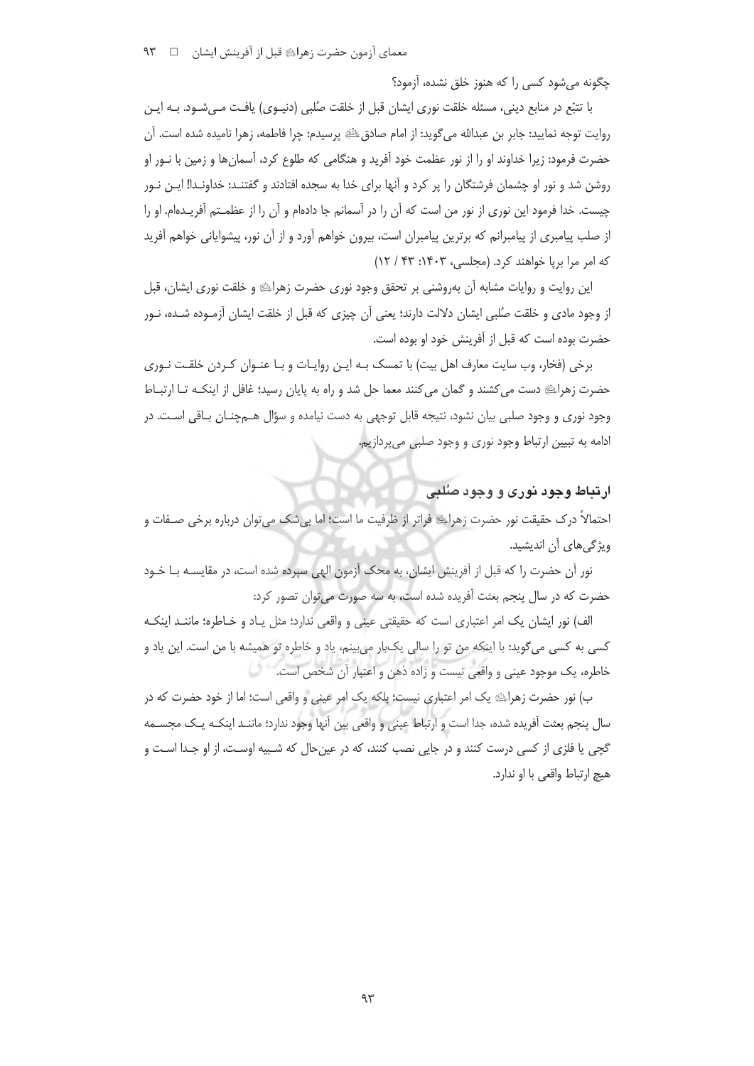چگونه می شود کسی را که هنوز خلق نشده، آزمود؟

با تتبّع در منابع دینی، مسئله خلقت نوری ایشان قبل از خلقت صُلبی (دنیـوی) یافـت مـیشـود. بـه ایـن روايت توجه نماييد: جابر بن عبدالله مي¢ويد: از امام صادقﷺ پرسيدم: چرا فاطمه، زهرا ناميده شده است. آن حضرت فرمود: زیرا خداوند او را از نور عظمت خود آفرید و هنگامی که طلوع کرد، آسمانها و زمین با نـور او روشن شد و نور او چشمان فرشتگان را پر کرد و آنها برای خدا به سجده افتادند و گفتنـد: خداونـدا! ایـن نـور چیست. خدا فرمود این نوری از نور من است که آن را در آسمانم جا دادهام و آن را از عظمـتم آفریـدهام. او را از صلب پیامبری از پیامبرانم که برترین پیامبران است، بیرون خواهم آورد و از آن نور، پیشوایانی خواهم آفرید که امر مرا بریا خواهند کرد. (مجلسی، ۱۴۰۳: ۶۳ / ۱۲)

این روایت و روایات مشابه آن بهروشنی بر تحقق وجود نوری حضرت زهرای هو خلقت نوری ایشان، قبل از وجود مادی و خلقت صُلبی ایشان دلالت دارند؛ یعنی آن چیزی که قبل از خلقت ایشان آزمـوده شـده، نـور حضرت بوده است كه قبل از آفرينش خود او بوده است.

برخی (فخار، وب سایت معارف اهل بیت) با تمسک بـه ایـن روایـات و بـا عنـوان کـردن خلقـت نـوری حضرت زهرایی دست می کشند و گمان می کنند معما حل شد و راه به پایان رسید؛ غافل از اینکـه تـا ارتبـاط وجود نوري و وجود صلبي بيان نشود، نتيجه قابل توجهي به دست نيامده و سؤال هــمچنــان بــاقي اســت. در ادامه به تبیین ارتباط وجود نوری و وجود صلبی میپردازیم.

# ارتباط وجود نوری و وجود صُلبی

احتمالاً درک حقیقت نور حضرت زهرایﷺ فراتر از ظرفیت ما است؛ اما بے شک مے توان دربارہ برخی صـفات و ویژگیهای آن اندیشید.

نور آن حضرت را که قبل از آفرینش ایشان، به محک آزمون الهی سیرده شده است، در مقایسـه بـا خـود حضرت که در سال پنجم بعثت آفریده شده است، به سه صورت می توان تصور کرد:

الف) نور ایشان یک امر اعتباری است که حقیقتی عینی و واقعی ندارد؛ مثل یـاد و خـاطره؛ ماننـد اینکـه کسی به کسی می گوید: با اینکه من تو را سالی یک بار می بینم، یاد و خاطره تو همیشه با من است. این یاد و خاطره، یک موجود عینی و واقعی نیست و زاده ذهن و اعتبار آن شخص است.

ب) نور حضرت زهراءِ يک امر اعتباري نيست؛ بلکه يک امر عيني و واقعي است؛ اما از خود حضرت که در سال پنجم بعثت آفریده شده، جدا است و ارتباط عینی و واقعی بین آنها وجود ندارد؛ ماننـد اینکـه یـک مجسـمه گچی یا فلزی از کسی درست کنند و در جایی نصب کنند، که در عینحال که شـبیه اوسـت، از او جـدا اسـت و هيچ ارتباط واقعي با او ندارد.

 $95$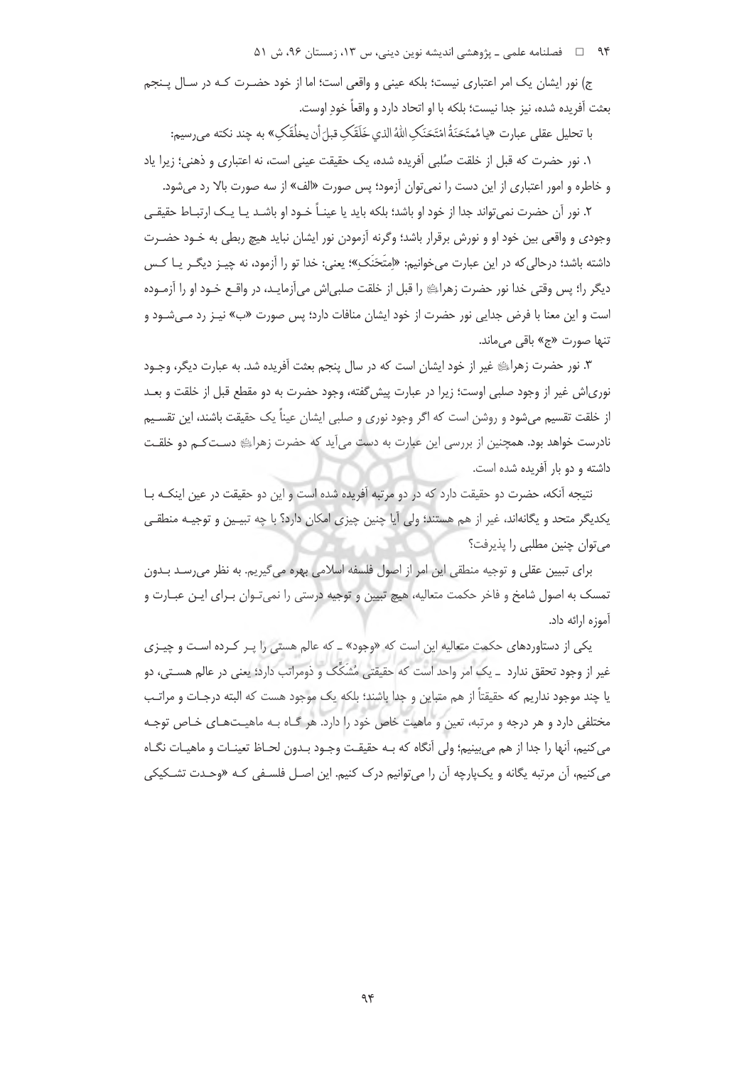۹۴ هـ فصلنامه علمي ـ پژوهشي انديشه نوين ديني، س ١٣، زمستان ٩۶، ش ۵۱

ج) نور ایشان یک امر اعتباری نیست؛ بلکه عینی و واقعی است؛ اما از خود حضـرت کـه در سـال پـنجم بعثت آفريده شده، نيز جدا نيست؛ بلكه با او اتحاد دارد و واقعاً خود اوست.

با تحليل عقلي عبارت «يامُمتَحَنَةُ امْتَحَنَكَ اللَّهُ الذي خَلَقَكَ قيلَ أن يخلُقَكَ» به چند نكته مي رسيم:

١. نور حضرت كه قبل از خلقت صُلبي آفريده شده، يك حقيقت عيني است، نه اعتباري و ذهني؛ زيرا ياد و خاطره و امور اعتباري از اين دست را نمي توان آزمود؛ پس صورت «الف» از سه صورت بالا رد مي شود.

۲. نور اَن حضرت نمی تواند جدا از خود او باشد؛ بلکه باید یا عینـاً خـود او باشـد یـا یـک ارتبـاط حقیقـی وجودي و واقعي بين خود او و نورش برقرار باشد؛ وگرنه آزمودن نور ايشان نبايد هيچ ربطي به خـود حضـرت داشته باشد؛ درحالي كه در اين عبارت مي خوانيم: «إمتَحَنَكِ»؛ يعني: خدا تو را آزمود، نه چيـز ديگـر يــا كـس دیگر را؛ پس وقتی خدا نور حضرت زهراﷺ را قبل از خلقت صلبی|ش می]زمایـد، در واقـع خـود او را آزمـوده است و این معنا با فرض جدایی نور حضرت از خود ایشان منافات دارد؛ پس صورت «ب» نیـز رد مـی شـود و تنها صورت «ج» باقی مے ماند.

٣. نور حضرت زهراية غير از خود ايشان است كه در سال ينجم بعثت أفريده شد. به عبارت ديگر، وجـود نوری|ش غیر از وجود صلبی اوست؛ زیرا در عبارت پیش گفته، وجود حضرت به دو مقطع قبل از خلقت و بعــد از خلقت تقسیم میشود و روشن است که اگر وجود نوری و صلبی ایشان عیناً یک حقیقت باشند، این تقسـیم نادرست خواهد بود. همچنین از بررسی این عبارت به دست می آید که حضرت زهرای دسـتکـم دو خلقـت داشته و دو بار آفریده شده است.

نتيجه آنكه، حضرت دو حقيقت دارد كه در دو مرتبه آفريده شده است و اين دو حقيقت در عين اينكـه بـا یکدیگر متحد و یگانهاند، غیر از هم هستند؛ ولی آیا چنین چیزی امکان دارد؟ با چه تبیـین و توجیـه منطقـی میتوان چنین مطلبی را پذیرفت؟

برای تبیین عقلی و توجیه منطقی این امر از اصول فلسفه اسلامی بهره می گیریم. به نظر می رسد بدون تمسک به اصول شامخ و فاخر حکمت متعالیه، هیچ تبیین و توجیه درستی را نمیتوان بـرای ایـن عبـارت و آموزه ارائه داد.

یکی از دستاوردهای حکمت متعالیه این است که «وجود» ـ که عالم هستی را پـر کـرده اسـت و چیـزی غیر از وجود تحقق ندارد \_ یک امر واحد است که حقیقتی مُشَکِّک و ذومراتب دارد؛ یعنی در عالم هسـتی، دو یا چند موجود نداریم که حقیقتاً از هم متباین و جدا باشند؛ بلکه یک موجود هست که البته درجـات و مراتـب مختلفی دارد و هر درجه و مرتبه، تعین و ماهیت خاص خود را دارد. هر گـاه بـه ماهیـتهـای خـاص توجـه مي كنيم، أنها را جدا از هم مي بينيم؛ ولي أنگاه كه بـه حقيقـت وجـود بـدون لحـاظ تعينـات و ماهيـات نگــاه می کنیم، آن مرتبه یگانه و یکپارچه آن را می توانیم درک کنیم. این اصـل فلسـفی کـه «وحـدت تشـکیکی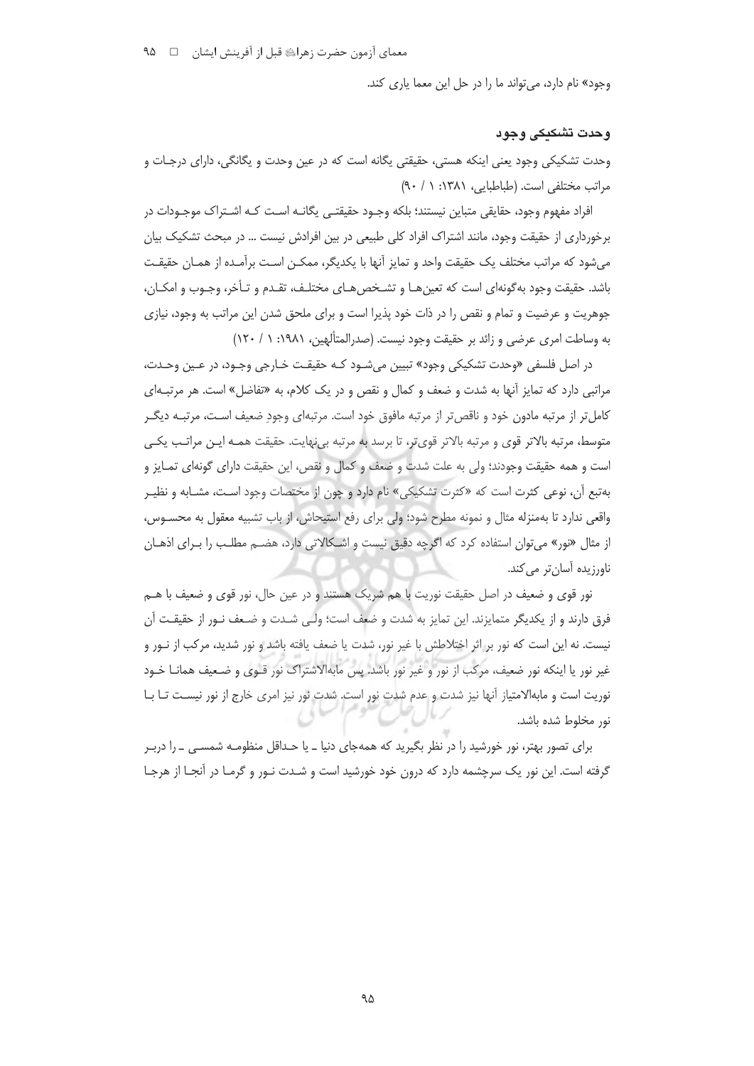معمای آزمون حضرت زهراﷺ قبل از آفرینش ایشان ۔ □ 4۵

وجود» نام دارد، می تواند ما را در حل این معما یاری کند.

# وحدت تشكيكي وجود

وحدت تشکیکی وجود یعنی اینکه هستی، حقیقتی یگانه است که در عین وحدت و یگانگی، دارای درجـات و مراتب مختلفی است. (طباطبایی، ۱۳۸۱: ۱ / ۹۰)

افراد مفهوم وجود، حقایقی متباین نیستند؛ بلکه وجـود حقیقتـی یگانـه اسـت کـه اشـتراک موجـودات در برخورداری از حقیقت وجود، مانند اشتراک افراد کلی طبیعی در بین افرادش نیست … در مبحث تشکیک بیان میشود که مراتب مختلف یک حقیقت واحد و تمایز آنها با یکدیگر، ممکـن اسـت برآمـده از همـان حقیقـت باشد. حقیقت وجود به گونهای است که تعین هـا و تشـخص هـای مختلـف، تقـدم و تـأخر، وجـوب و امکـان، جوهریت و عرضیت و تمام و نقص را در ذات خود پذیرا است و برای ملحق شدن این مراتب به وجود، نیازی به وساطت امرى عرضى و زائد بر حقيقت وجود نيست. (صدرالمتألهين، ١٩٨١: ١ / ١٢٠)

در اصل فلسفی «وحدت تشکیکی وجود» تبیین میشـود کـه حقیقـت خـارجی وجـود، در عـین وحـدت، مراتبی دارد که تمایز آنها به شدت و ضعف و کمال و نقص و در یک کلام، به «تفاضل» است. هر مرتبـهای کامل تر از مرتبه مادون خود و ناقص تر از مرتبه مافوق خود است. مرتبهای وجودِ ضعیف است، مرتبـه دیگـر متوسط، مرتبه بالاتر قوى و مرتبه بالاتر قوىتر، تا برسد به مرتبه بى نهايت. حقيقت همـه ايـن مراتـب يكـي است و همه حقیقت وجودند؛ ولی به علت شدت و ضعف و کمال و نقص، این حقیقت دارای گونهای تمـایز و بهتبع آن، نوعي كثرت است كه «كثرت تشكيكي» نام دارد و چون از مختصات وجود اسـت، مشـابه و نظيـر واقعی ندارد تا بهمنزله مثال و نمونه مطرح شود؛ ولی برای رفع استیحاش، از باب تشبیه معقول به محسـوس، از مثال «نور» می توان استفاده کرد که اگرچه دقیق نیست و اشکالاتی دارد، هضم مطلب را بـرای اذهـان ناورزیدہ آسان تر مے کند.

نور قوی و ضعیف در اصل حقیقت نوریت با هم شریک هستند و در عین حال، نور قوی و ضعیف با هـم فرق دارند و از یکدیگر متمایزند. این تمایز به شدت و ضعف است؛ ولـی شـدت و ضـعف نـور از حقیقـت آن نیست. نه این است که نور بر اثر اختلاطش با غیر نور، شدت یا ضعف یافته باشد و نور شدید، مرکب از نـور و غیر نور یا اینکه نور ضعیف، مرکب از نور و غیر نور باشد. پس مابهالاشتراک نور قـوی و ضـعیف همانــا خـود نوریت است و مابهالامتیاز آنها نیز شدت و عدم شدت نور است. شدت نور نیز امری خارج از نور نیسـت تــا بــا نور مخلوط شده باشد.

برای تصور بهتر، نور خورشید را در نظر بگیرید که همهجای دنیا ـ یا حـداقل منظومـه شمســی ــ را دربـر گرفته است. این نور یک سرچشمه دارد که درون خود خورشید است و شـدت نـور و گرمـا در آنجـا از هرجـا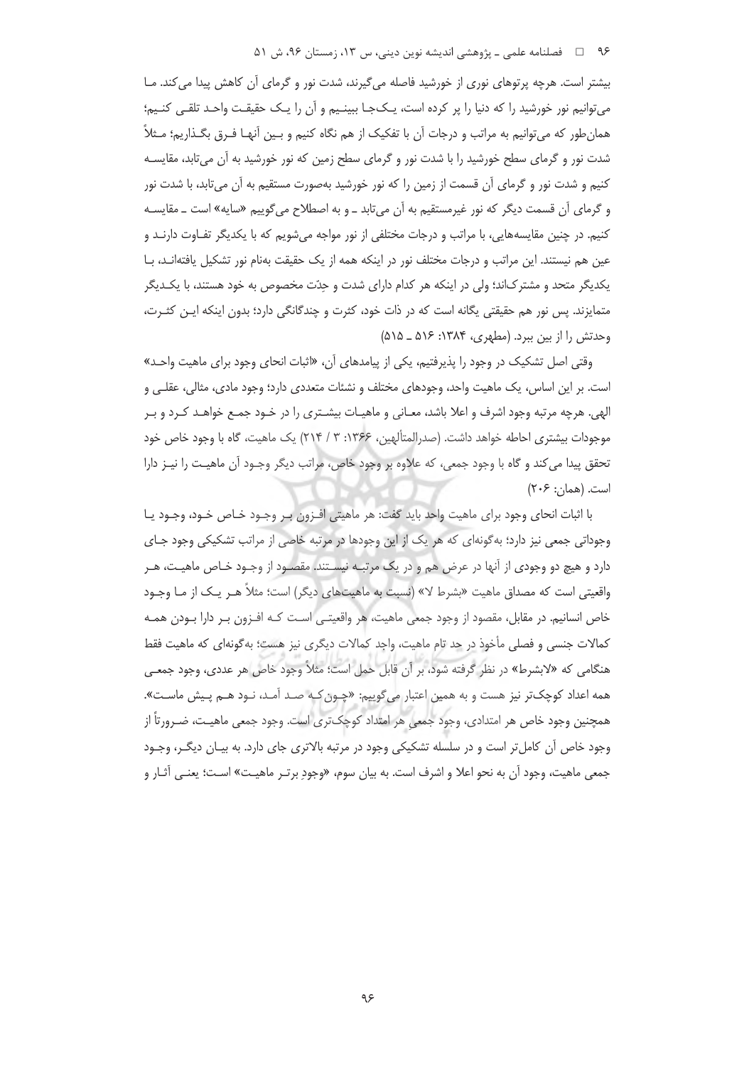بیشتر است. هرچه پرتوهای نوری از خورشید فاصله می گیرند، شدت نور و گرمای آن کاهش پیدا می کند. مـا می توانیم نور خورشید را که دنیا را پر کرده است، یـک۱جـا ببینـیم و آن را یـک حقیقـت واحـد تلقـی کنـیم؛ همان طور که می توانیم به مراتب و درجات آن با تفکیک از هم نگاه کنیم و بـین آنهـا فـرق بگـذاریم؛ مـثلاً شدت نور و گرمای سطح خورشید را با شدت نور و گرمای سطح زمین که نور خورشید به آن میتابد، مقایسـه کنیم و شدت نور و گرمای آن قسمت از زمین را که نور خورشید بهصورت مستقیم به آن می¤بد، با شدت نور و گرمای آن قسمت دیگر که نور غیرمستقیم به آن میتابد ـ و به اصطلاح میگوییم «سایه» است ـ مقایسـه کنیم. در چنین مقایسههایی، با مراتب و درجات مختلفی از نور مواجه میشویم که با یکدیگر تفـاوت دارنـد و عین هم نیستند. این مراتب و درجات مختلف نور در اینکه همه از یک حقیقت بهنام نور تشکیل یافتهانـد، بـا یکدیگر متحد و مشترک|ند؛ ولی در اینکه هر کدام دارای شدت و حدّت مخصوص به خود هستند، با یکـدیگر متمایزند. پس نور هم حقیقتی یگانه است که در ذات خود، کثرت و چندگانگی دارد؛ بدون اینکه ایـن کثـرت، وحدتش را از بین ببرد. (مطهری، ۱۳۸۴: ۵۱۶ ـ ۵۱۵)

وقتی اصل تشکیک در وجود را پذیرفتیم، یکی از پیامدهای آن، «اثبات انحای وجود برای ماهیت واحـد» است. بر این اساس، یک ماهیت واحد، وجودهای مختلف و نشئات متعددی دارد؛ وجود مادی، مثالی، عقلـی و الهی. هرچه مرتبه وجود اشرف و اعلا باشد، معـانی و ماهیـات بیشـتری را در خـود جمـع خواهـد کـرد و بـر موجودات بیشتری احاطه خواهد داشت. (صدرالمتألهین، ۱۳۶۶: ۳ / ۲۱۴) یک ماهیت، گاه با وجود خاص خود تحقق پيدا مي كند و گاه با وجود جمعي، كه علاوه بر وجود خاص، مراتب ديگر وجـود آن ماهيـت را نيـز دارا است. (همان: ۲۰۶)

با اثبات انحاى وجود براى ماهيت واحد بايد گفت: هر ماهيتي افـزون بـر وجـود خـاص خـود، وجـود يـا وجوداتی جمعی نیز دارد؛ به گونهای که هر یک از این وجودها در مرتبه خاصی از مراتب تشکیکی وجود جـای دارد و هیچ دو وجودی از آنها در عرض هم و در یک مرتبـه نیسـتند. مقصـود از وجـود خـاص ماهیـت، هـر واقعیتی است که مصداق ماهیت «بشرط لا» (نسبت به ماهیتهای دیگر) است؛ مثلاً هـر یـک از مـا وجـود خاص انسانیم. در مقابل، مقصود از وجود جمعی ماهیت، هر واقعیتـی اسـت کـه افـزون بـر دارا بـودن همـه كمالات جنسي و فصلي مأخوذ در حد تام ماهيت، واجد كمالات ديگري نيز هست؛ به گونهاي كه ماهيت فقط هنگامی که «لابشرط» در نظر گرفته شود، بر آن قابل حمل است؛ مثلاً وجود خاص هر عددی، وجود جم*ع*ـی همه اعداد کوچکتر نیز هست و به همین اعتبار میگوییم: «چـون کـه صـد آمـد، نـود هـم پـیش ماسـت». همچنین وجود خاص هر امتدادی، وجود جمعی هر امتداد کوچک تری است. وجود جمعی ماهیـت، ضـرورتاً از وجود خاص آن کامل تر است و در سلسله تشکیکی وجود در مرتبه بالاتری جای دارد. به بیـان دیگـر، وجـود جمعي ماهيت، وجود آن به نحو اعلا و اشرف است. به بيان سوم، «وجود برتـر ماهيـت» اسـت؛ يعنـي آثـار و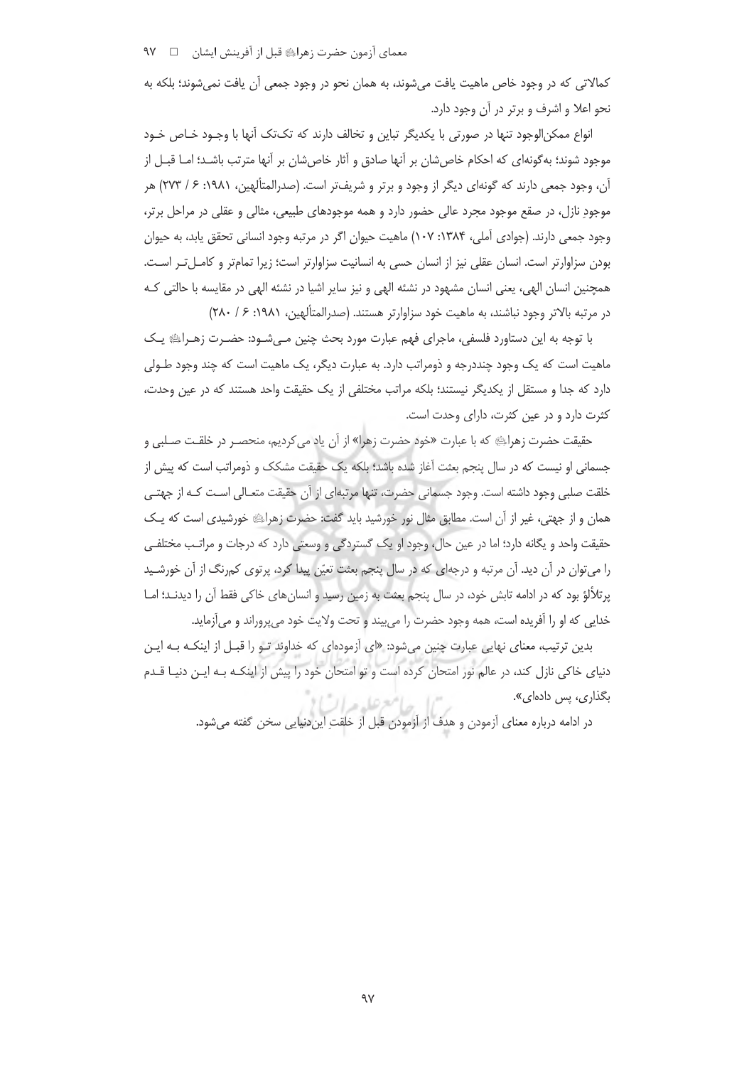کمالاتی که در وجود خاص ماهیت یافت می شوند، به همان نحو در وجود جمعی آن یافت نمی شوند؛ بلکه به نحو اعلا و اشرف و برتر در آن وجود دارد.

انواع ممکن|لوجود تنها در صورتی با یکدیگر تباین و تخالف دارند که تکتک آنها با وجـود خـاص خـود موجود شوند؛ به گونهای که احکام خاصشان بر آنها صادق و آثار خاصشان بر آنها مترتب باشـد؛ امـا قبـل از آن، وجود جمعی دارند که گونهای دیگر از وجود و برتر و شریفتر است. (صدرالمتألهین، ۱۹۸۱: ۶/ ۲۷۳) هر موجود نازل، در صقع موجود مجرد عالی حضور دارد و همه موجودهای طبیعی، مثالی و عقلی در مراحل برتر، وجود جمعي دارند. (جوادي آملي، ۱۳۸۴: ۱۰۷) ماهيت حيوان اگر در مرتبه وجود انساني تحقق يابد، به حيوان بودن سزاوارتر است. انسان عقلی نیز از انسان حسی به انسانیت سزاوارتر است؛ زیرا تمامتر و کامـلتـر اسـت. همچنین انسان الهی، یعنی انسان مشهود در نشئه الهی و نیز سایر اشیا در نشئه الهی در مقایسه با حالتی ک در مرتبه بالاتر وجود نباشند، به ماهیت خود سزاوارتر هستند. (صدرالمتألهین، ۱۹۸۱: ۶/ ۲۸۰)

با توجه به این دستاورد فلسفی، ماجرای فهم عبارت مورد بحث چنین مـیشـود: حضـرت زهـرای یـک ماهیت است که یک وجود چنددرجه و ذومراتب دارد. به عبارت دیگر، یک ماهیت است که چند وجود طـولی دارد که جدا و مستقل از یکدیگر نیستند؛ بلکه مراتب مختلفی از یک حقیقت واحد هستند که در عین وحدت، كثرت دارد و در عين كثرت، داراي وحدت است.

حقيقت حضرت زهراءِﷺ كه با عبارت «خود حضرت زهرا» از آن ياد مي كرديم، منحصــر در خلقـت صـلبي و جسمانی او نیست که در سال پنجم بعثت آغاز شده باشد؛ بلکه یک حقیقت مشکک و ذومراتب است که پیش از خلقت صلبی وجود داشته است. وجود جسمانی حضرت، تنها مرتبهای از آن حقیقت متعـالی اسـت کـه از جهتـی همان و از جهتی، غیر از آن است. مطابق مثال نور خورشید باید گفت: حضرت زهرایه خورشیدی است که یک حقیقت واحد و یگانه دارد؛ اما در عین حال، وجود او یک گستردگی و وسعتی دارد که درجات و مراتب مختلفی را میتوان در آن دید. آن مرتبه و درجهای که در سال پنجم بعثت تعیّن پیدا کرد، پرتوی کمرنگ از آن خورشـید پرتلألؤ بود که در ادامه تابش خود، در سال پنجم بعثت به زمین رسید و انسان های خاکی فقط آن را دیدنــد؛ امــا خدایی که او را آفریده است، همه وجود حضرت را می بیند و تحت ولایت خود می پروراند و می آزماید.

بدین ترتیب، معنای نهایی عبارت چنین میشود: «ای آزمودهای که خداوند تـو را قبـل از اینکـه بـه ایـن دنیای خاکی نازل کند، در عالم نور امتحان کرده است و تو امتحان خود را پیش از اینکـه بـه ایـن دنیـا قـدم بگذاری، پس دادهای». "ا حامع عليده ال

در ادامه درباره معنای آزمودن و هدف از آزمودن قبل از خلقتِ ایندنیایی سخن گفته میشود.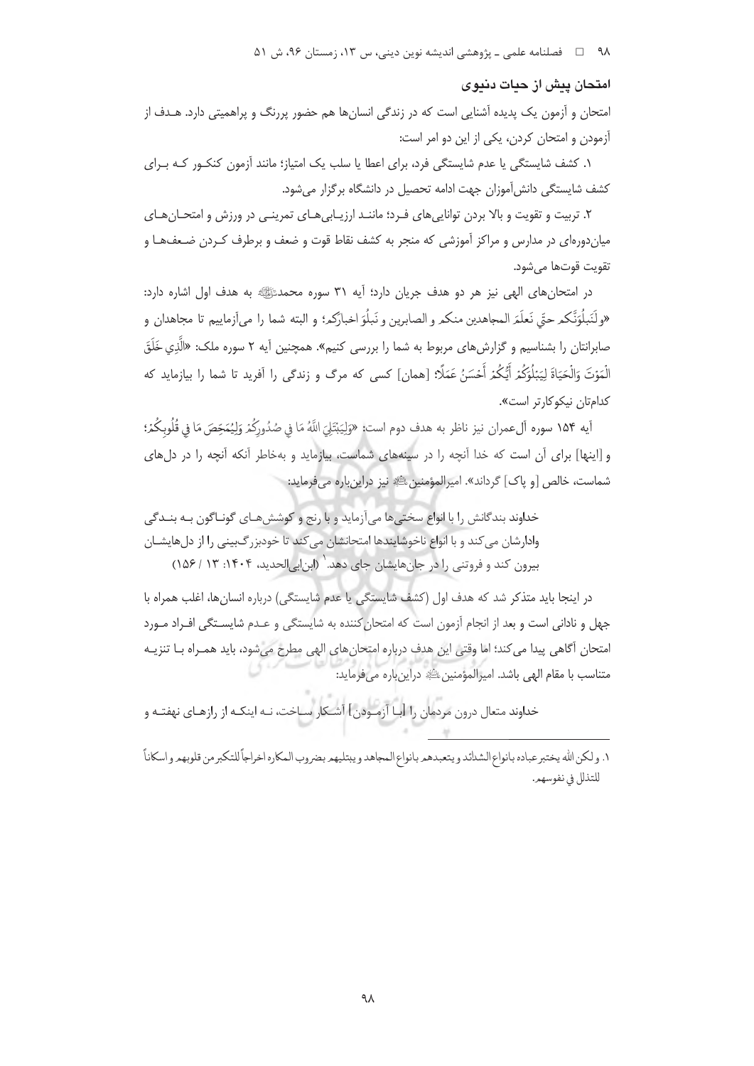۹۸ = □ فصلنامه علمي ــ پژوهشي انديشه نوين ديني، س ١٣، زمستان ٩۶، ش ۵۱

### امتحان پیش از حیات دنیوی

امتحان و آزمون یک پدیده آشنایی است که در زندگی انسانها هم حضور پررنگ و پراهمیتی دارد. هـدف از آزمودن و امتحان کردن، یکی از این دو امر است:

۱. کشف شایستگی یا عدم شایستگی فرد، برای اعطا یا سلب یک امتیاز؛ مانند آزمون کنکـور کـه بـرای کشف شایستگی دانش آموزان جهت ادامه تحصیل در دانشگاه برگزار می شود.

۲. تربیت و تقویت و بالا بردن توانایی های فـرد؛ ماننـد ارزیـابی هـای تمرینـی در ورزش و امتحـان هـای میاندورهای در مدارس و مراکز آموزشی که منجر به کشف نقاط قوت و ضعف و برطرف کـردن ضـعفـهـا و تقويت قوتها مي شود.

در امتحان های الهی نیز هر دو هدف جریان دارد؛ آیه ۳۱ سوره محمدﷺ به هدف اول اشاره دارد: «ولَنَبلُوَنَّكم حتّي نَعلَمَ المجاهدين منكم و الصابرين و نَبلُوَ اخبارَكم؛ و البته شما را مي[زماييم تا مجاهدان و صابرانتان را بشناسیم و گزارش های مربوط به شما را بررسی کنیم». همچنین آیه ۲ سوره ملک: «الَّذِی خَلَقَ الْمَوْتَ وَالْحَيَاةَ لِيَبْلُوَكُمْ أَيُّكُمْ أَحْسَنُ عَمَلًا: [همان] كسى كه مرگ و زندگى را آفريد تا شما را بيازمايد كه كدامتان نيكوكارتر است».

آيه ١۵۴ سوره آلءمران نيز ناظر به هدف دوم است: «وَلِيَبْتَلِيَ اللَّهُ مَا فِي صُدُورِكُمْ وَلِيُمَحِّصَ مَا فِي قُلُوبِكُمْ؛ و [اینها] برای آن است که خدا آنچه را در سینههای شماست، بیازماید و بهخاطر آنکه آنچه را در دل های شماست، خالص [و پاک] گرداند». امپرالمؤمنین ﷺ نیز دراینباره میفرماید:

خداوند بندگانش را با انواع سختیها می آزماید و با رنج و کوششهای گونـاگون بـه بنــدگی وادارشان می کند و با انواع ناخوشایندها امتحانشان می کند تا خودبزرگ بینی را از دلهایشـان بیرون کند و فروتنی را در جانهایشان جای دهد. (ابن ابی الحدید، ۱۴۰۴: ۱۳ / ۱۵۶)

در اینجا باید متذکر شد که هدف اول (کشف شایستگی یا عدم شایستگی) درباره انسانها، اغلب همراه با جهل و نادانی است و بعد از انجام آزمون است که امتحان کننده به شایستگی و عـدم شایسـتگی افـراد مـورد امتحان آگاهی پیدا می کند؛ اما وقتی این هدف درباره امتحان های الهی مطرح می شود، باید همـراه بـا تنزیـه متناسب با مقام الهي باشد. اميرالمؤمنين ﷺ دراين باره مي فرمايد:

خداوند متعال درون مردمان را [بـا آزمـودن] آشـكار سـاخت، نـه اينكـه از رازهـاي نهفتـه و

١. ولكن الله يختبرعباده بانواع الشدائد ويتعبدهم بانواع المجاهد ويبتليهم بضروب المكاره اخراجاً للتكبر من قلوبهم و اسكاناً للتذلل في نفوسهم.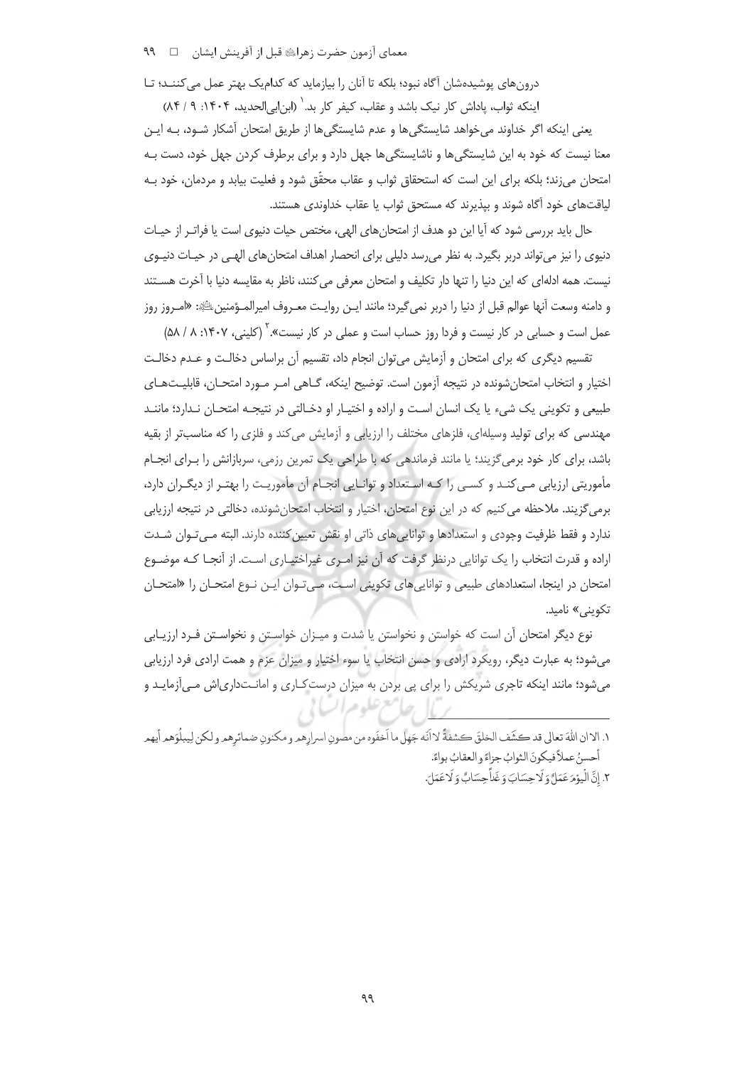درونهای پوشیدهشان آگاه نبود؛ بلکه تا آنان را بیازماید که کدامیک بهتر عمل می کننــد؛ تـا

اینکه ثواب، یاداش کار نیک باشد و عقاب، کیفر کار بد. ٰ (ابن ابی الحدید، ۱۴۰۴: ۹ / ۸۴)

یعنی اینکه اگر خداوند میخواهد شایستگی۵ا و عدم شایستگی۵ا از طریق امتحان آشکار شـود، بـه ایـن معنا نیست که خود به این شایستگیها و ناشایستگیها جهل دارد و برای برطرف کردن جهل خود، دست بـه امتحان می;ند؛ بلکه برای این است که استحقاق ثواب و عقاب محقّق شود و فعلیت بیابد و مردمان، خود بـه لیاقتهای خود آگاه شوند و بیذیرند که مستحق ثواب یا عقاب خداوندی هستند.

حال بايد بررسي شود كه آيا اين دو هدف از امتحان هاي الهي، مختص حيات دنيوي است يا فراتـر از حيـات دنیوی را نیز می تواند دربر بگیرد. به نظر می رسد دلیلی برای انحصار اهداف امتحان های الهـی در حیـات دنیـوی نیست. همه ادلهای که این دنیا را تنها دار تکلیف و امتحان معرفی می کنند، ناظر به مقایسه دنیا با آخرت هسـتند و دامنه وسعت آنها عوالم قبل از دنیا را دربر نمی¢یرد؛ مانند ایـن روایـت معـروف امیرالمـؤمنینﷺ: «امـروز روز عمل است و حسابی در کار نیست و فردا روز حساب است و عملی در کار نیست».<sup>۲</sup> (کلینی، ۱۴۰۷: ۸ / ۵۸)

تقسیم دیگری که برای امتحان و آزمایش می توان انجام داد، تقسیم آن براساس دخالـت و عـدم دخالـت اختیار و انتخاب امتحانِ شونده در نتیجه آزمون است. توضیح اینکه، گـاهی امـر مـورد امتحـان، قابلیـتهـای طبیعی و تکوینی یک شیء یا یک انسان است و اراده و اختیـار او دخـالتی در نتیجـه امتحـان نـدارد؛ ماننـد مهندسی که برای تولید وسیلهای، فلزهای مختلف را ارزیابی و آزمایش میکند و فلزی را که مناسبتر از بقیه باشد، برای کار خود برمی گزیند؛ یا مانند فرماندهی که با طراحی یک تمرین رزمی، سربازانش را بـرای انجـام مأموریتی ارزیابی مـی کنـد و کسـی را کـه اسـتعداد و توانـایی انجـام آن مأموریـت را بهتـر از دیگـران دارد، برمی گزیند. ملاحظه می کنیم که در این نوع امتحان، اختیار و انتخاب امتحان شونده، دخالتی در نتیجه ارزیابی ندارد و فقط ظرفیت وجودی و استعدادها و توانایی های ذاتی او نقش تعیین کننده دارند. البته مـیتـوان شـدت اراده و قدرت انتخاب را یک توانایی درنظر گرفت که آن نیز امـری غیراختیـاری اسـت. از آنجـا کـه موضـوع امتحان در اینجا، استعدادهای طبیعی و تواناییهای تکوینی است، مـی تـوان ایـن نـوع امتحـان را «امتحـان تکوینی» نامید.

نوع دیگر امتحان آن است که خواستن و نخواستن یا شدت و میـزان خواسـتن و نخواسـتن فـرد ارزیـابی میشود؛ به عبارت دیگر، رویکرد ارادی و حسن انتخاب یا سوء اختیار و میزان عزم و همت ارادی فرد ارزیابی میشود؛ مانند اینکه تاجری شریکش را برای پی بردن به میزان درست کاری و امانتداریاش مے آزمایـد و ماسعرعلو عراب

١. الاان اللهَ تعالى قد كشَف الخلقَ كشفةً لا أنّه جَهل ما أخفَوه من مصونِ اسرارهم و مكنونِ ضمائرهم و لكن لِيبلَوَهم أيهم أحسنُ عملاً فيكونَ الثوابُ جزاءً و العقابُ بواءً.

٢. إِنَّ الْيَوْمَ عَمَلٌ وَلَا حِسَابَ وَغَدَّ حِسَابٌ وَلَا عَمَلَ.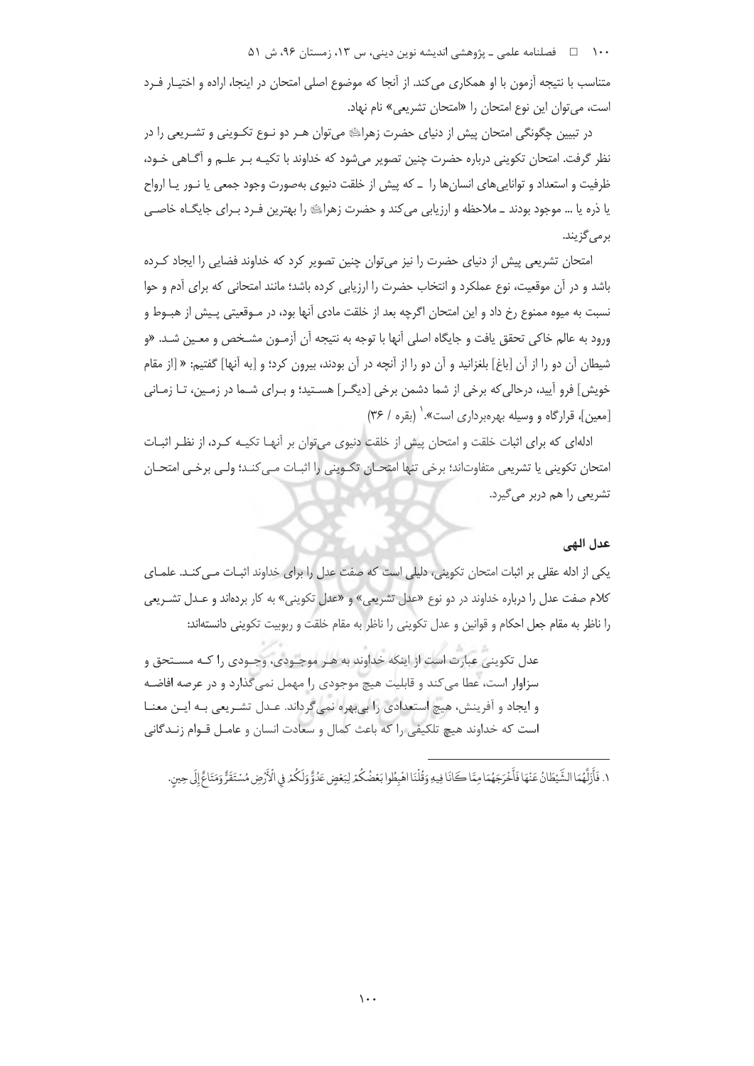۱۰۰ فصلنامه علمي ـ پژوهشي انديشه نوين ديني، س ۱۳، زمستان ۹۶، ش ۵۱

متناسب با نتیجه آزمون با او همکاری می کند. از آنجا که موضوع اصلی امتحان در اینجا، اراده و اختیـار فـرد است، می توان این نوع امتحان را «امتحان تشریعی» نام نهاد.

در تبیین چگونگی امتحان پیش از دنیای حضرت زهرایی می توان هـر دو نـوع تکـوینی و تشـریعی را در نظر گرفت. امتحان تکوینی درباره حضرت چنین تصویر میشود که خداوند با تکیـه بـر علـم و آگــاهی خـود، ظرفیت و استعداد و تواناییهای انسانها را \_ که پیش از خلقت دنیوی بهصورت وجود جمعی یا نـور یـا ارواح یا ذره یا … موجود بودند ــ ملاحظه و ارزیابی می کند و حضرت زهرایﷺ را بهترین فـرد بـرای جایگــاه خاصــی برمی گزیند.

امتحان تشریعی پیش از دنیای حضرت را نیز میتوان چنین تصویر کرد که خداوند فضایی را ایجاد کـرده باشد و در آن موقعیت، نوع عملکرد و انتخاب حضرت را ارزیابی کرده باشد؛ مانند امتحانی که برای آدم و حوا نسبت به میوه ممنوع رخ داد و این امتحان اگرچه بعد از خلقت مادی آنها بود، در مـوقعیتی پـیش از هبـوط و ورود به عالم خاکي تحقق يافت و جايگاه اصلي آنها با توجه به نتيجه آن آزمـون مشـخص و م*ع*ـين شـد. «و شيطان آن دو را از آن [باغ] بلغزانيد و آن دو را از آنچه در آن بودند، بيرون كرد؛ و [به آنها] گفتيم: « [از مقام خویش] فرو آیید، درحالی که برخی از شما دشمن برخی [دیگـر] هسـتید؛ و بـرای شـما در زمـین، تـا زمـانی [معين]، قرارگاه و وسيله بهرهبرداري است».' (بقره / ٣۶)

ادلهای که برای اثبات خلقت و امتحان پیش از خلقت دنیوی می توان بر آنهـا تکیـه کـرد، از نظـر اثبـات امتحان تكويني يا تشريعي متفاوتاند؛ برخي تنها امتحـان تكـويني را اثبـات مـي كنـد؛ ولـي برخـي امتحـان تشریعی را هم دربر می گیرد.

## عدل الهي

یکی از ادله عقلی بر اثبات امتحان تکوینی، دلیلی است که صفت عدل را برای خداوند اثبـات مـی کنـد. علمـای كلام صفت عدل را درباره خداوند در دو نوع «عدل تشريعي» و «عدل تكويني» به كار بردهاند و عـدل تشـريعي را ناظر به مقام جعل احکام و قوانین و عدل تکوینی را ناظر به مقام خلقت و ربوبیت تکوینی دانستهاند:

عدل تکوینی عبارت است از اینکه خداوند به هـر موجـودی، وجـودی را کـه مســتحق و سزاوار است، عطا می کند و قابلیت هیچ موجودی را مهمل نمی گذارد و در عرصه افاضـه و ایجاد و آفرینش، هیچ استعدادی را بی بهره نمی گرداند. عـدل تشـریعی بـه ایـن معنـا است كه خداوند هيچ تلكيفي را كه باعث كمال و سعادت انسان و عامـل قـوام زنـدگاني

١. فَأَزَلَّهُمَا الشَّيْطَانُ عَنْهَا فَأَخْرَجَهُمَا مِمَّا كَانَا فِيهِ وَقُلْنَا اهْبِطُوا بَعْضُكُمْ لِبَعْضٍ عَدُوٌّ وَلَكُمْ فِي الْأَرْضِ مُسْتَقَرٌّ وَمَتَاءٌ إِلَى حِين.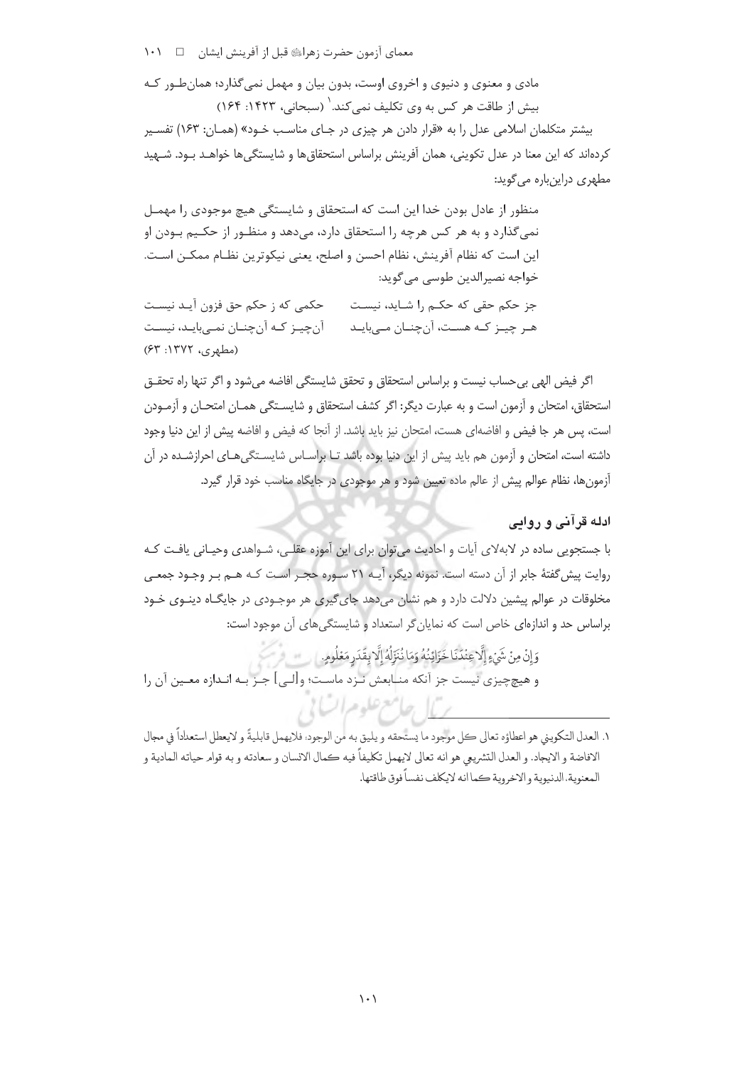معمای آزمون حضرت زهراﷺ قبل از آفرینش ایشان هے د ۱۰۱

مادی و معنوی و دنیوی و اخروی اوست، بدون بیان و مهمل نمی گذارد؛ همان طور کـه يبش إز طاقت هر كس به وي تكليف نمر كند. (سيجاني، ١٤٢٣: ١۶۴)

بیشتر متکلمان اسلامی عدل را به «قرار دادن هر چیزی در جای مناسب خـود» (همـان: ۱۶۳) تفسـیر کردهاند که این معنا در عدل تکوینی، همان آفرینش براساس استحقاق۱ها و شایستگی۵ها خواهـد بـود. شــهید مطهری دراینباره میگوید:

منظور از عادل بودن خدا این است که استحقاق و شایستگی هیچ موجودی را مهمـل نمی گذارد و به هر کس هرچه را استحقاق دارد، میدهد و منظـور از حکـیم بـودن او اين است كه نظام آفرينش، نظام احسن و اصلح، يعني نيكوترين نظـام ممكـن اسـت. خواجه نصيرالدين طوسي مي گويد: حکمی که ز حکم حق فزون آیـد نیسـت جز حکم حقی که حکـم را شـاید، نیسـت

آنچیـز کـه آنچنـان نمـیبایـد، نیسـت هـر چيــز كــه هســت، آنچنــان مــىبايــد (مطهری، ۱۳۷۲: ۶۳)

اگر فیض الهی بی حساب نیست و براساس استحقاق و تحقق شایستگی افاضه می شود و اگر تنها راه تحقـق استحقاق، امتحان و آزمون است و به عبارت دیگر: اگر کشف استحقاق و شایسـتگی همـان امتحـان و آزمـودن است، پس هر جا فیض و افاضهای هست، امتحان نیز باید باشد. از آنجا که فیض و افاضه پیش از این دنیا وجود داشته است، امتحان و آزمون هم باید پیش از این دنیا بوده باشد تـا براسـاس شایسـتگی هـای احرازشـده در آن آزمونها، نظام عوالم پیش از عالم ماده تعیین شود و هر موجودی در جایگاه مناسب خود قرار گیرد.

# ادله قرآنی و روایی

با جستجویی ساده در لابهلای آیات و احادیث می توان برای این آموزه عقلـی، شـواهدی وحیـانی یافـت کـه روايت پيش گفتۀ جابر از آن دسته است. نمونه ديگر، آيـه ٢١ سـوره حجـر اسـت كـه هـم بـر وجـود جمعـي مخلوقات در عوالم پیشین دلالت دارد و هم نشان میدهد جای گیری هر موجـودی در جایگـاه دینـوی خـود براساس حد و اندازهای خاص است که نمایان گر استعداد و شایستگی های آن موجود است:

وَإِنْ مِنْ شَيْءٍ إِلَّا عِنْدَنَا خَزَائِنُهُ وَمَا نُنَزِّلُهُ إِلَّا بِقَدَرِ مَعْلُومٍ. و هيچچيزي نيست جز آنكه منـابعش نـزد ماسـت؛ و[لـي] جـز بـه انـدازه معـين آن را

١. العدل التكويني هو اعطاؤه تعالى كل موجود ما يستحقه و يليق به من الوجود؛ فلايهمل قابليةً و لايعطل استعداداً في مجال الافاضة و الايجاد. و العدل التشريعي هو انه تعالى لايهمل تكليفاً فيه كمال الانسان و سعادته و به قوامر حياته المادية و المعنوية، الدنيوية و الاخروية كما انه لايكلف نفساً فوق طاقتها.

برياح مامع علوم السابر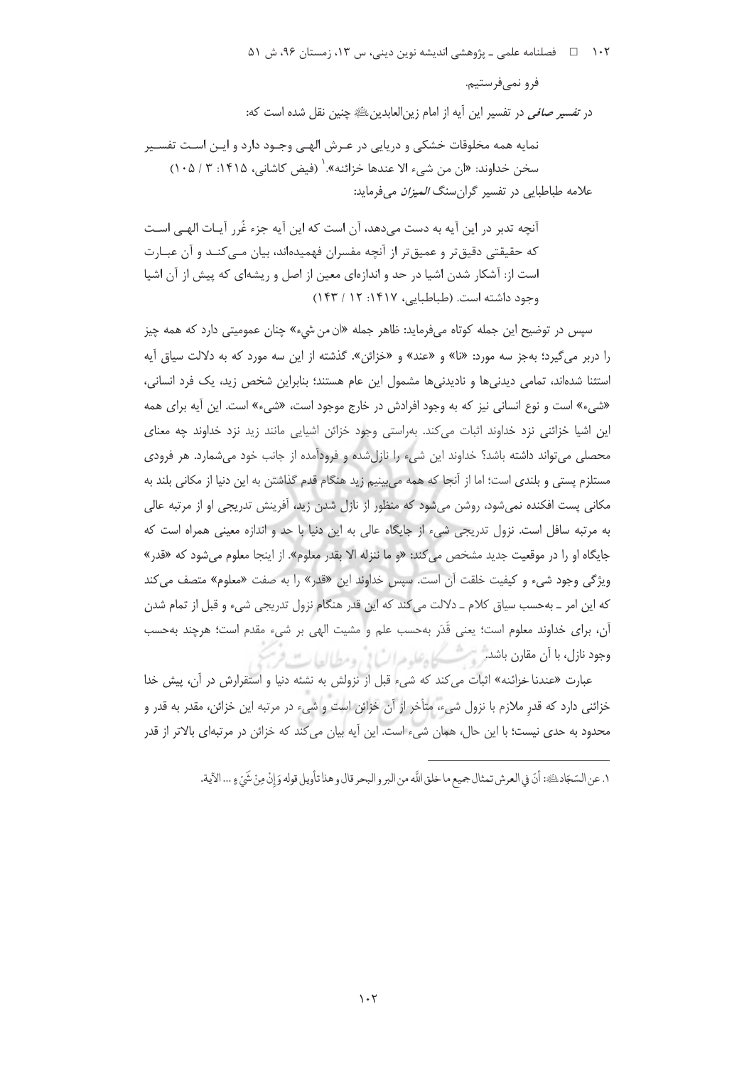۱۰۲ = هصلنامه علمی ـ پژوهشی اندیشه نوین دینی، س ۱۳، زمستان ۹۶، ش ۵۱

فرو نمے فرستیم.

در ت*فسیر صافی* در تفسیر این آیه از امام زین|لعابدین ﷺ چنین نقل شده است که:

نمایه همه مخلوقات خشکی و دریایی در عـرش الهـی وجـود دارد و ایـن اسـت تفسـیر سخن خداوند: «ان من شيء الا عندها خزائنه». ` (فيض كاشاني، ١۴١۵: ٣ / ١٠۵) علامه طباطبایی در تفسیر گران سنگ *المیزان* میفرماید:

آنچه تدبر در این آیه به دست می،دهد، آن است که این آیه جزء غُرر آیـات الهـی اسـت که حقیقتی دقیق تر و عمیق تر از آنچه مفسران فهمیدهاند، بیان مــی کنــد و آن عبــارت است از: آشکار شدن اشیا در حد و اندازهای معین از اصل و ریشهای که پیش از آن اشیا وجود داشته است. (طباطبایی، ۱۴۱۷: ۱۲ / ۱۴۳)

سپس در توضیح این جمله کوتاه میفرماید: ظاهر جمله «ان من شيء» چنان عمومیتی دارد که همه چیز را دربر میگیرد؛ بهجز سه مورد: «نا» و «عند» و «خزائن». گذشته از این سه مورد که به دلالت سیاق آیه استثنا شدهاند، تمامی دیدنی ها و نادیدنی ها مشمول این عام هستند؛ بنابراین شخص زید، یک فرد انسانی، «شيء» است و نوع انساني نيز كه به وجود افرادش در خارج موجود است، «شيء» است. اين آيه براي همه این اشیا خزائنی نزد خداوند اثبات می کند. بهراستی وجود خزائن اشیایی مانند زید نزد خداوند چه معنای محصلی می تواند داشته باشد؟ خداوند این شیء را نازل شده و فرودآمده از جانب خود می شمارد. هر فرودی مستلزم يستى و بلندى است؛ اما از آنجا كه همه مى بينيم زيد هنگام قدم گذاشتن به اين دنيا از مكانى بلند به مکانی پست افکنده نمی شود، روشن می شود که منظور از نازل شدن زید، آفرینش تدریجی او از مرتبه عالی به مرتبه سافل است. نزول تدریجی شیء از جایگاه عالی به این دنیا با حد و اندازه معینی همراه است که جایگاه او را در موقعیت جدید مشخص می کند: «و ما ننزله الا بقدر معلوم». از اینجا معلوم می شود که «قدر» ویژگی وجود شیء و کیفیت خلقت آن است. سپس خداوند این «قدر» را به صفت «معلوم» متصف میکند كه اين امر \_ بهحسب سياق كلام \_ دلالت مي كند كه اين قدر هنگام نزول تدريجي شيء و قبل از تمام شدن آن، براي خداوند معلوم است؛ يعني قَدَر بهحسب علم و مشيت الهي بر شيء مقدم است؛ هرچند بهحسب وجود نازل، با أن مقارن باشد روست كل عليه عرائبًا في ومطيالها ت فرا

عبارت «عندنا خزائنه» اثبات می كند كه شیء قبل از نزولش به نشئه دنیا و استقرارش در آن، پیش خدا خزائنی دارد که قدر ملازم با نزول شیء، متأخر از آن خزائن است و شیء در مرتبه این خزائن، مقدر به قدر و محدود به حدی نیست؛ با این حال، همان شیء است. این آیه بیان می کند که خزائن در مرتبهای بالاتر از قدر

١. عن السّجّاد، يُجَة: أنّ في العرش تمثال جميع ما خلق اللّه من البر و البحر قال و هذا تأويل قوله وَ إنْ مِنْ شَئ ءٍ ... الآية.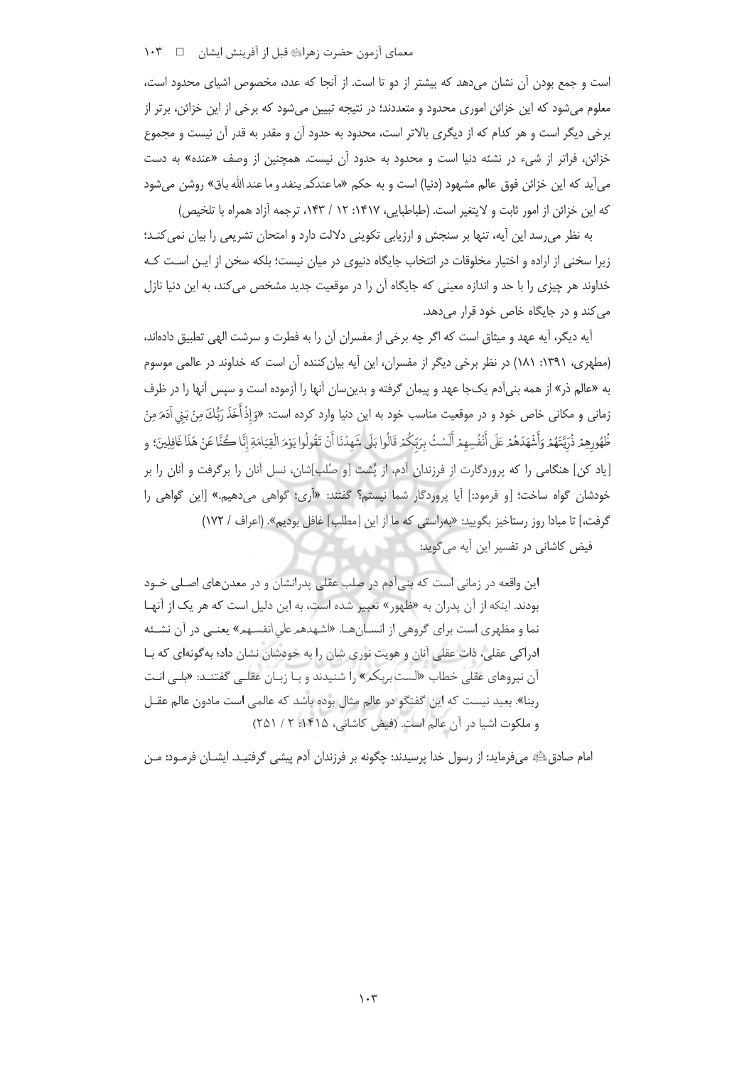## معمای آزمون حضرت زهراﷺ قبل از آفرینش ایشان هے س ۱۰۳

است و جمع بودن آن نشان میدهد که بیشتر از دو تا است. از آنجا که عدد، مخصوص اشیای محدود است، معلوم میشود که این خزائن اموری محدود و متعددند؛ در نتیجه تبیین میشود که برخی از این خزائن، برتر از برخی دیگر است و هر کدام که از دیگری بالاتر است، محدود به حدود آن و مقدر به قدر آن نیست و مجموع خزائن، فراتر از شيء در نشئه دنيا است و محدود به حدود آن نيست. همچنين از وصف «عنده» به دست می]ید که این خزائن فوق عالم مشهود (دنیا) است و به حکم «ماعندکم ینفد و ماعند الله باق» روشن می شود كه اين خزائن از امور ثابت و لايتغير است. (طباطبايي، ١٤١٧: ١٢ / ١٤٣، ترجمه آزاد همراه با تلخيص)

به نظر می رسد این آیه، تنها بر سنجش و ارزیابی تکوینی دلالت دارد و امتحان تشریعی را بیان نمی کنـد؛ زیرا سخنی از اراده و اختیار مخلوقات در انتخاب جایگاه دنیوی در میان نیست؛ بلکه سخن از ایـن اسـت کـه خداوند هر چیزی را با حد و اندازه معینی که جایگاه آن را در موقعیت جدید مشخص می کند، به این دنیا نازل می کند و در جایگاه خاص خود قرار میدهد.

آيه ديگر، آيه عهد و ميثاق است كه اگر چه برخي از مفسران آن را به فطرت و سرشت الهي تطبيق دادهاند، (مطهری، ۱۳۹۱: ۱۸۱) در نظر برخی دیگر از مفسران، این آیه بیان کننده آن است که خداوند در عالمی موسوم به «عالم ذر» از همه بنی آدم یکجا عهد و پیمان گرفته و بدین سان آنها را آزموده است و سپس آنها را در ظرف زماني و مكاني خاص خود و در موقعيت مناسب خود به اين دنيا وارد كرده است: «وَ إِذْ أَخَذَ رَبُّكَ مِنْ بَني آدَمَ مِنْ ظُهُورِهِمْ ذُرِّيَّتَهُمْ وَأَشْهَدَهُمْ عَلَى أَنْفُسِهِمْ أَلَسْتُ بِرَبِّكُمْ قَالُوا بَلَى شَهِدْنَا أَنْ تَقُولُوا يَوْمَ الْقِيَامَةِ إِنَّا كُنَّا عَنْ هَذَا غَافِلِينَ؛ و [یاد کن] هنگامی را که پروردگارت از فرزندان آدم، از یُشت [و صُلب]شان، نسل آنان را برگرفت و آنان را بر خودشان گواه ساخت؛ [و فرمود:] آیا پروردگار شما نیستم؟ گفتند: «اَرِی؛ گواهی میدهیم.» [این گواهی را گرفت،] تا مبادا روز رستاخیز بگویید: «بهراستی که ما از این [مطلب] غافل بودیم». (اعراف / ۱۷۲)

فیض کاشانی در تفسیر این آیه می گوید:

این واقعه در زمانی است که بنیآدم در صلب عقلی پدرانشان و در معدنهای اصلی خـود بودند. اینکه از آن پدران به «ظهور» تعبیر شده است، به این دلیل است که هر یک از آنهـا نما و مظهری است برای گروهی از انسـانهـا. «اشـهدهم علی انفسـهم» یعنـی در آن نشـئه ادراکی عقلی، ذات عقلی آنان و هویت نوری شان را به خودشان نشان داد؛ به گونهای که بـا آن نیروهای عقلی خطاب «الست بربکم» را شنیدند و بـا زبـان عقلـی گفتنــد: «بلـی انـت ربنا». بعید نیست که این گفتگو در عالم مثال بوده باشد که عالمی است مادون عالم عقـل و ملكوت اشيا در آن عالم است. (فيض كاشاني، ١۴١۵: ٢ / ٢٥١)

امام صادق ﷺ می فرماید: از رسول خدا پرسیدند: چگونه بر فرزندان آدم پیشی گرفتیـد. ایشــان فرمــود: مــن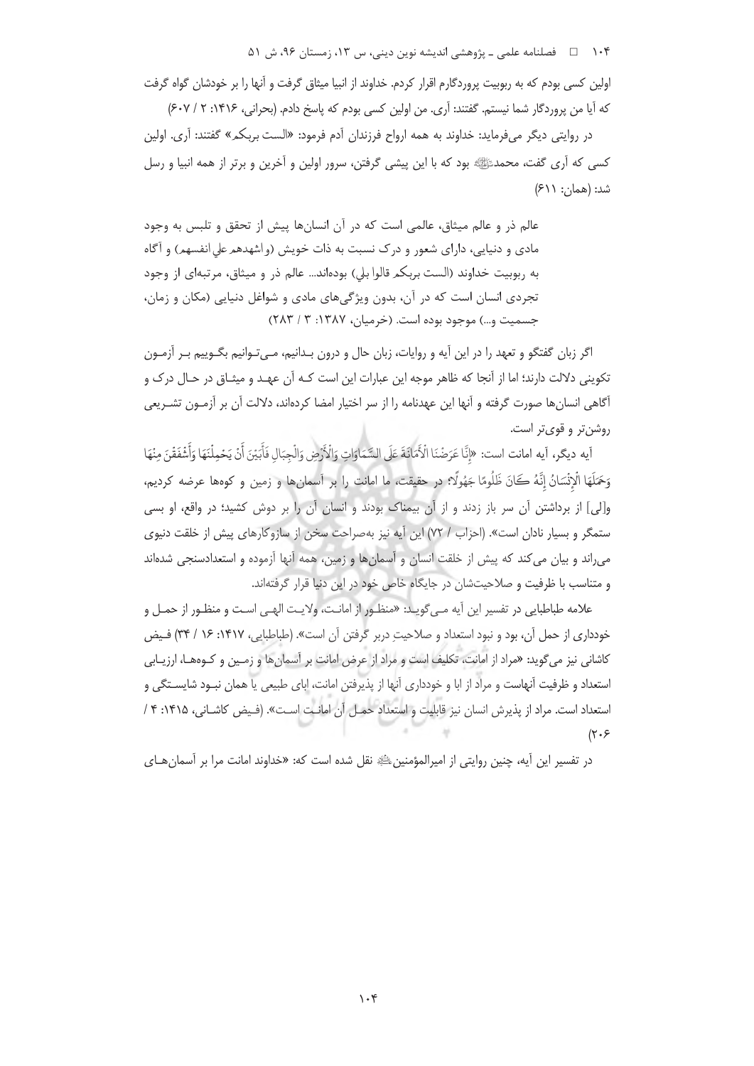۱۰۴ هـ فصلنامه علمي ـ پژوهشي انديشه نوين ديني، س ۱۳، زمستان ۹۶، ش ۵۱

اولین کسی بودم که به ربوبیت پروردگارم اقرار کردم. خداوند از انبیا میثاق گرفت و آنها را بر خودشان گواه گرفت كه آيا من پروردگار شما نيستم. گفتند: آرى. من اولين كسى بودم كه پاسخ دادم. (بحرانى، ١۴١۶: ٢ / ٤٠٧) در روایتی دیگر میفرماید: خداوند به همه ارواح فرزندان آدم فرمود: «الست بربکم» گفتند: آری. اولین

کسی که آری گفت، محمدﷺ بود که با این پیشی گرفتن، سرور اولین و آخرین و برتر از همه انبیا و رسل شد: (همان: ۶۱۱)

عالم ذر و عالم میثاق، عالمی است که در آن انسانها پیش از تحقق و تلبس به وجود مادي و دنيايي، داراي شعور و درک نسبت به ذات خويش (واشهدهم على انفسهم) و آگاه به ربوبيت خداوند (الست بربكم قالوا بلي) بودهاند... عالم ذر و ميثاق، مرتبهاي از وجود تجردی انسان است که در آن، بدون ویژگیهای مادی و شواغل دنیایی (مکان و زمان، جسمیت و…) موجود بوده است. (خرمیان، ۱۳۸۷: ۳ / ۲۸۳)

اگر زبان گفتگو و تعهد را در این آیه و روایات، زبان حال و درون بـدانیم، مـیتـوانیم بگــوییم بـر آزمــون تکوینی دلالت دارند؛ اما از آنجا که ظاهر موجه این عبارات این است کـه آن عهـد و میثـاق در حـال درک و أگاهی انسان ها صورت گرفته و آنها این عهدنامه را از سر اختیار امضا کردهاند، دلالت آن بر آزمـون تشـریعی روشن تر و قوی تر است.

آيه ديگر، آيه امانت است: «إِنَّا عَرَضْنَا الْأَمَانَةَ عَلَى السَّمَاوَاتِ وَالْأَرْضِ وَالْجِبَالِ فَأَبَيْنَ أَنْ يَحْملُنَهَا وَأَشْفَقْنَ مِنْهَا وَحَمَلَهَا الْإِنْسَانُ إِنَّهُ كَانَ ظَلُومًا جَهُولًا؟ در حقيقت، ما امانت را بر أسمانها و زمين و كوهها عرضه كرديم، و[لی] از برداشتن آن سر باز زدند و از آن بیمناک بودند و انسان آن را بر دوش کشید؛ در واقع، او بس*ی* ستمگر و بسیار نادان است». (احزاب / ٧٢) این آیه نیز بهصراحت سخن از سازوکارهای پیش از خلقت دنیوی می اند و بیان می کند که پیش از خلقت انسان و آسمانها و زمین، همه آنها آزموده و استعدادسنجی شدهاند و متناسب با ظرفیت و صلاحیتشان در جایگاه خاص خود در این دنیا قرار گرفتهاند.

علامه طباطبايي در تفسير اين آيه مـي¢ويـد: «منظـور از امانـت، ولايـت الهـي اسـت و منظـور از حمـل و خودداری از حمل آن، بود و نبود استعداد و صلاحیت دربر گرفتن آن است». (طباطبایی، ۱۴۱۷: ۱۶ / ۳۴) فـیض کاشانی نیز میگوید: «مراد از امانت، تکلیف است و مراد از عرض امانت بر آسمان ها و زمـین و کـوههـا، ارزیـابی استعداد و ظرفیت آنهاست و مراد از ابا و خودداری آنها از پذیرفتن امانت، ابای طبیعی یا همان نبـود شایسـتگی و استعداد است. مراد از پذیرش انسان نیز قابلیت و استعداد حمل آن امانت است». (فیض کاشانی، ۱۴۱۵: ۴ /  $(\tau \cdot \xi)$ 

در تفسير اين آيه، چنين روايتي از امپرالمؤمنين،ﷺ نقل شده است كه: «خداوند امانت مرا بر آسمان هـاي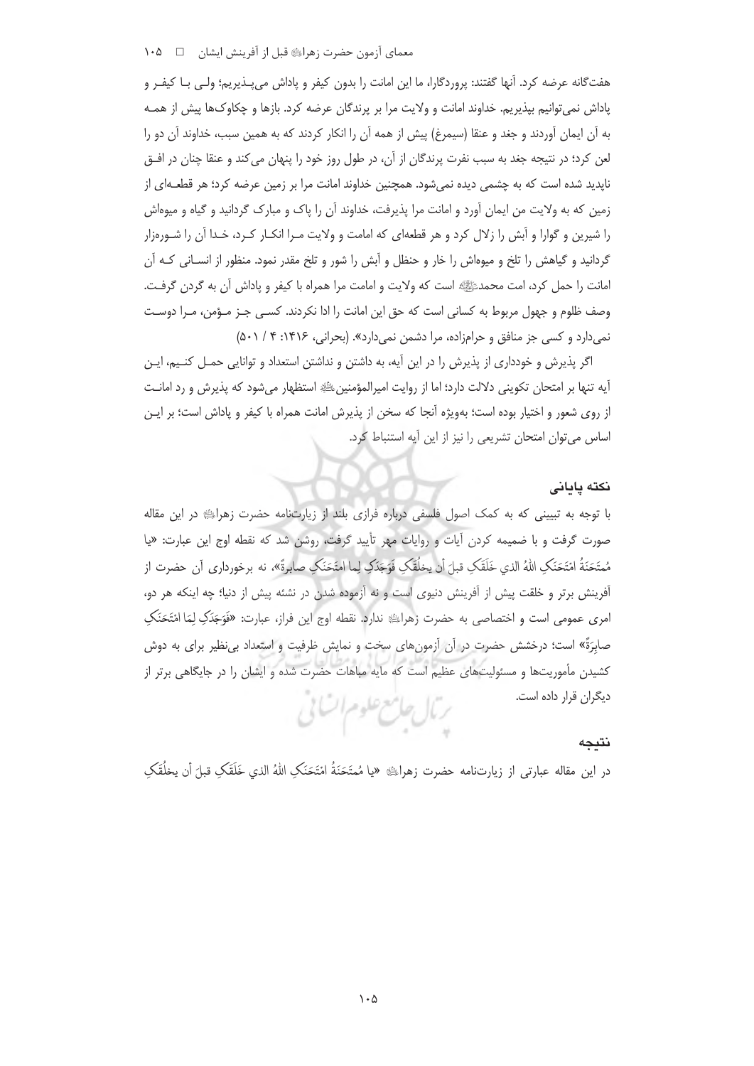## معماي آزمون حضرت زهراﷺ قبل از آفرينش ايشان هـ د ١٠٥

هفتگانه عرضه کرد. آنها گفتند: پروردگارا، ما این امانت را بدون کیفر و پاداش میپـذیریم؛ ولـی بـا کیفـر و یاداش نمی توانیم بیذیریم. خداوند امانت و ولایت مرا بر پرندگان عرضه کرد. بازها و چکاوکها پیش از همـه به آن ایمان آوردند و جغد و عنقا (سیمرغ) پیش از همه آن را انکار کردند که به همین سبب، خداوند آن دو را لعن كرد؛ در نتيجه جغد به سبب نفرت پرندگان از آن، در طول روز خود را پنهان مي كند و عنقا چنان در افــق ناپدید شده است که به چشمی دیده نمیشود. همچنین خداوند امانت مرا بر زمین عرضه کرد؛ هر قطعـهای از زمین که به ولایت من ایمان آورد و امانت مرا پذیرفت، خداوند آن را پاک و مبارک گردانید و گیاه و میوهاش را شیرین و گوارا و آبش را زلال کرد و هر قطعهای که امامت و ولایت مـرا انکـار کـرد، خـدا آن را شـورهزار گردانید و گیاهش را تلخ و میوهاش را خار و حنظل و آبش را شور و تلخ مقدر نمود. منظور از انســانی کــه آن امانت را حمل کرد، امت محمدﷺ است که ولایت و امامت مرا همراه با کیفر و یاداش آن به گردن گرفت. وصف ظلوم و جهول مربوط به كساني است كه حق اين امانت را ادا نكردند. كسبي جـز مـؤمن، مـرا دوسـت نمی دارد و کسی جز منافق و حرامزاده، مرا دشمن نمی دارد». (بحرانی، ۱۴۱۶: ۴/ ۵۰۱)

اگر پذیرش و خودداری از پذیرش را در این آیه، به داشتن و نداشتن استعداد و توانایی حمـل کنـیم، ایـن آيه تنها بر امتحان تكويني دلالت دارد؛ اما از روايت اميرالمؤمنينﷺ استظهار ميشود كه پذيرش و رد امانـت از روی شعور و اختیار بوده است؛ بهویژه آنجا که سخن از پذیرش امانت همراه با کیفر و پاداش است؛ بر ایـن اساس می توان امتحان تشریعی را نیز از این آیه استنباط کرد.

#### نكته يايانى

با توجه به تبیینی که به کمک اصول فلسفی درباره فرازی بلند از زیارتنامه حضرت زهرای در این مقاله صورت گرفت و با ضمیمه کردن آیات و روایات مهر تأیید گرفت، روشن شد که نقطه اوج این عبارت: «یا مُمتَحَنَةُ امْتَحَنَكِ اللهُ الذي خَلَقَكِ قبلَ أن يخلُقَكِ فَوَجَدَكِ لِما امتَحَنَكِ صابرةً»، نه برخورداري أن حضرت از آفرینش برتر و خلقت پیش از آفرینش دنیوی است و نه آزموده شدن در نشئه پیش از دنیا؛ چه اینکه هر دو، امري عمومي است و اختصاصي به حضرت زهرالله ندارد. نقطه اوج اين فراز، عبارت: «فَوَجَدَكِ لِمَا امْتَحَنَكِ صابرَةً» است؛ درخشش حضرت در آن آزمونهای سخت و نمایش ظرفیت و استعداد بی نظیر برای به دوش کشیدن مأموریتها و مسئولیتهای عظیم است که مایه مباهات حضرت شده و ایشان را در جایگاهی برتر از دیگران قرار داده است. ترمال حامع علوم اتناني

## نتبجه

در این مقاله عبارتی از زیارتنامه حضرت زهرایی «یا مُمتَحَنَةُ امْتَحَنَكِ اللهُ الذی خَلَقَكِ قبلَ أن يخلُقَكِ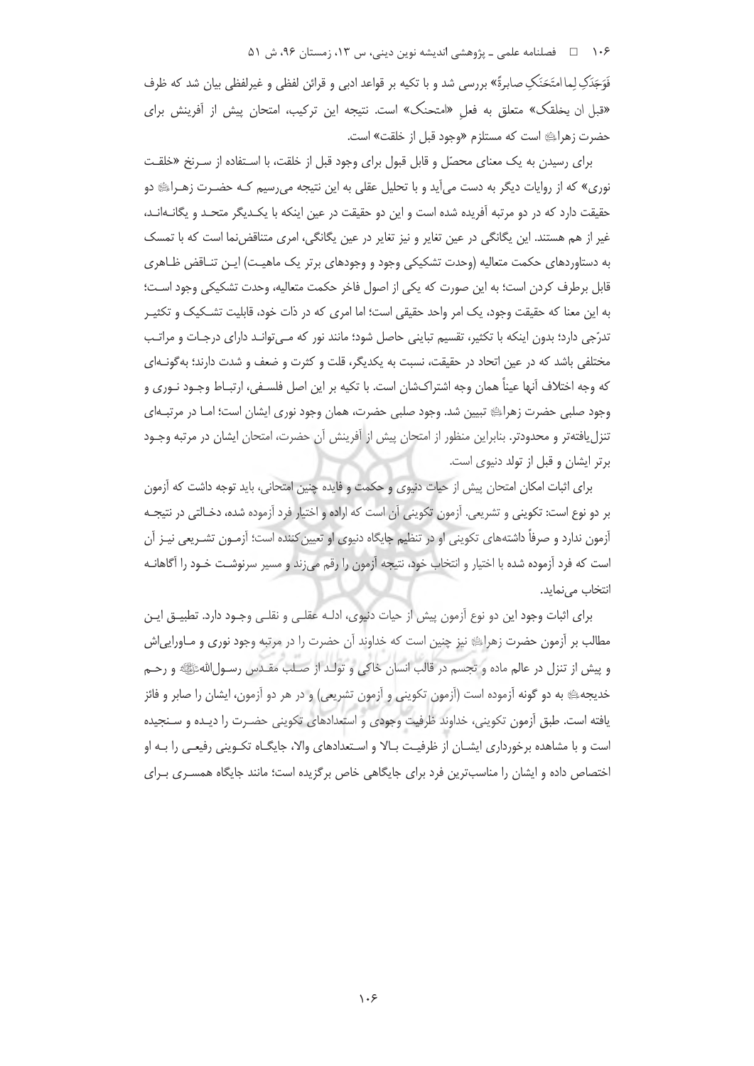۱۰۶ = فصلنامه علمی ـ پژوهشی اندیشه نوین دینی، س ۱۳، زمستان ۹۶، ش ۵۱

فَوَجَدَکِ لِما امتَحَنَکِ صابرةً» بررسی شد و با تکیه بر قواعد ادبی و قرائن لفظی و غیرلفظی بیان شد که ظرف «قبل ان يخلقك» متعلق به فعل «امتحنك» است. نتيجه اين تركيب، امتحان پيش از أفرينش براي حضرت زهرالِه است که مستلزم «وجود قبل از خلقت» است.

برای رسیدن به یک معنای محصّل و قابل قبول برای وجود قبل از خلقت، با اسـتفاده از سـرنخ «خلقـت نوري» كه از روايات ديگر به دست مي∫يد و با تحليل عقلي به اين نتيجه مي,رسيم كـه حضـرت زهـراﷺ دو حقیقت دارد که در دو مرتبه آفریده شده است و این دو حقیقت در عین اینکه با یک<code>L</code>یگر متحـد و یگانـهانـد، غیر از هم هستند. این یگانگی در عین تغایر و نیز تغایر در عین یگانگی، امری متناقض نما است که با تمسک به دستاوردهای حکمت متعالیه (وحدت تشکیکی وجود و وجودهای برتر یک ماهیـت) ایـن تنـاقض ظـاهری قابل برطرف کردن است؛ به این صورت که یکی از اصول فاخر حکمت متعالیه، وحدت تشکیکی وجود اسـت؛ به این معنا که حقیقت وجود، یک امر واحد حقیقی است؛ اما امری که در ذات خود، قابلیت تشــکیک و تکثیـر تدرّجی دارد؛ بدون اینکه با تکثیر، تقسیم تباینی حاصل شود؛ مانند نور که مـیتوانـد دارای درجـات و مراتـب مختلفی باشد که در عین اتحاد در حقیقت، نسبت به یکدیگر، قلت و کثرت و ضعف و شدت دارند؛ به گونـهای که وجه اختلاف آنها عيناً همان وجه اشتراکشان است. با تکيه بر اين اصل فلسـفي، ارتبـاط وجـود نـوري و وجود صلبي حضرت زهراءِ تبيين شد. وجود صلبي حضرت، همان وجود نوري ايشان است؛ امـا در مرتبـهاي تنزل یافتهتر و محدودتر. بنابراین منظور از امتحان پیش از آفرینش آن حضرت، امتحان ایشان در مرتبه وجـود برتر ایشان و قبل از تولد دنیوی است.

برای اثبات امکان امتحان پیش از حیات دنیوی و حکمت و فایده چنین امتحانی، باید توجه داشت که آزمون بر دو نوع است: تكويني و تشريعي. آزمون تكويني آن است كه اراده و اختيار فرد آزموده شده، دخـالتي در نتيجــه آزمون ندارد و صرفاً داشتههای تکوینی او در تنظیم جایگاه دنیوی او تعیین کننده است؛ آزمـون تشـریعی نیـز آن است که فرد آزموده شده با اختیار و انتخاب خود، نتیجه آزمون را رقم می;ند و مسیر سرنوشـت خـود را آگاهانـه انتخاب مے نماید.

برای اثبات وجود این دو نوع آزمون پیش از حیات دنیوی، ادلـه عقلـی و نقلـی وجـود دارد. تطبیـق ایـن مطالب بر اَزمون حضرت زهراءِ نيز چنين است كه خداوند اَن حضرت را در مرتبه وجود نورى و مـاورايي|ش و پيش از تنزل در عالم ماده و تجسم در قالب انسان خاكي و تولـد از صـلب مقـدس رسـول|للهﷺ و رحـم خدیجه ی به دو گونه آزموده است (آزمون تکوینی و آزمون تشریعی) و در هر دو آزمون، ایشان را صابر و فائز یافته است. طبق آزمون تکوینی، خداوند ظرفیت وجودی و استعدادهای تکوینی حضـرت را دیـده و سـنجیده است و با مشاهده برخورداری ایشــان از ظرفیــت بــالا و اسـتعدادهای والا، جایگــاه تکــوینی رفیعــی را بــه او اختصاص داده و ایشان را مناسبترین فرد برای جایگاهی خاص برگزیده است؛ مانند جایگاه همسـری بـرای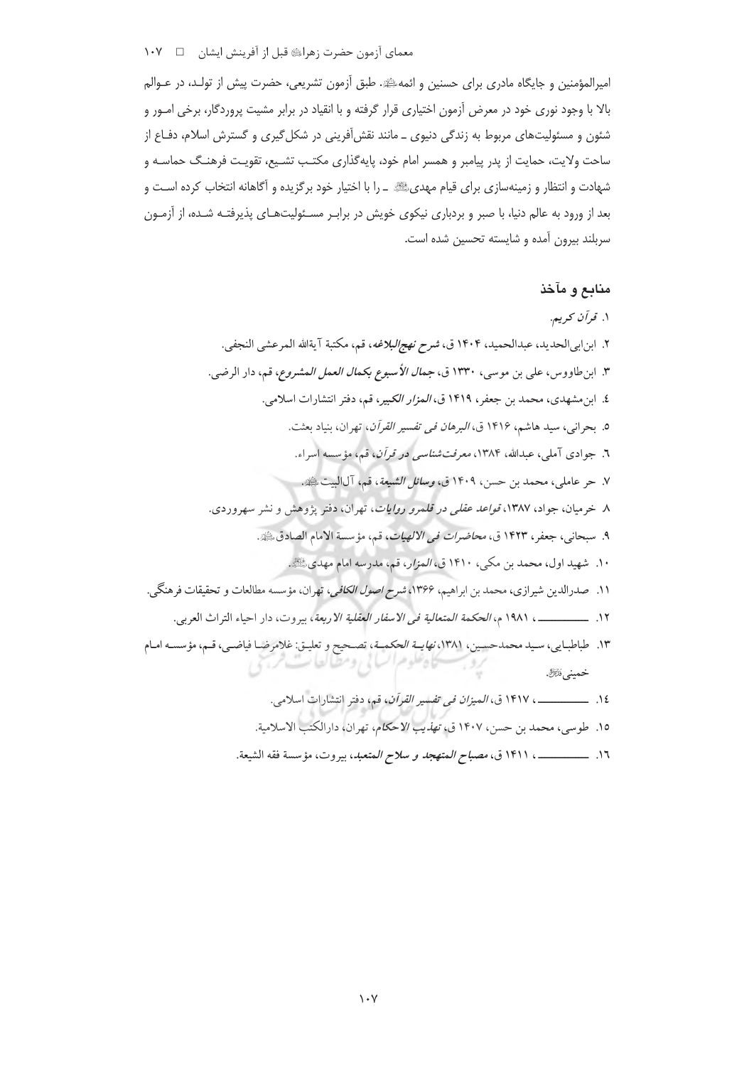امپرالمؤمنین و جایگاه مادری برای حسنین و ائمهﷺ. طبق آزمون تشریعی، حضرت پیش از تولـد، در عـوالم بالا با وجود نوری خود در معرض آزمون اختیاری قرار گرفته و با انقیاد در برابر مشیت پروردگار، برخی امــور و شئون و مسئولیتهای مربوط به زندگی دنیوی ـ مانند نقش[فرینی در شکل گیری و گسترش اسلام، دفـاع از ساحت ولایت، حمایت از پدر پیامبر و همسر امام خود، پایهگذار*ی* مکتب تشـیع، تقویـت فرهنـگ حماسـه و شهادت و انتظار و زمینهسازی برای قیام مهدیﷺ \_ را با اختیار خود برگزیده و آگاهانه انتخاب کرده اسـت و بعد از ورود به عالم دنیا، با صبر و بردباری نیکوی خویش در برابـر مسـئولیتهـای پذیرفتـه شـده، از آزمـون سربلند بیرون آمده و شایسته تحسین شده است.

# منابع و مآخذ

١٦. \_\_\_\_\_\_\_\_\_\_\_. ١٤١١ ق، مصباح *المتهجد و سلاح المتعبد*، بيروت، مؤسسة فقه الشيعة.